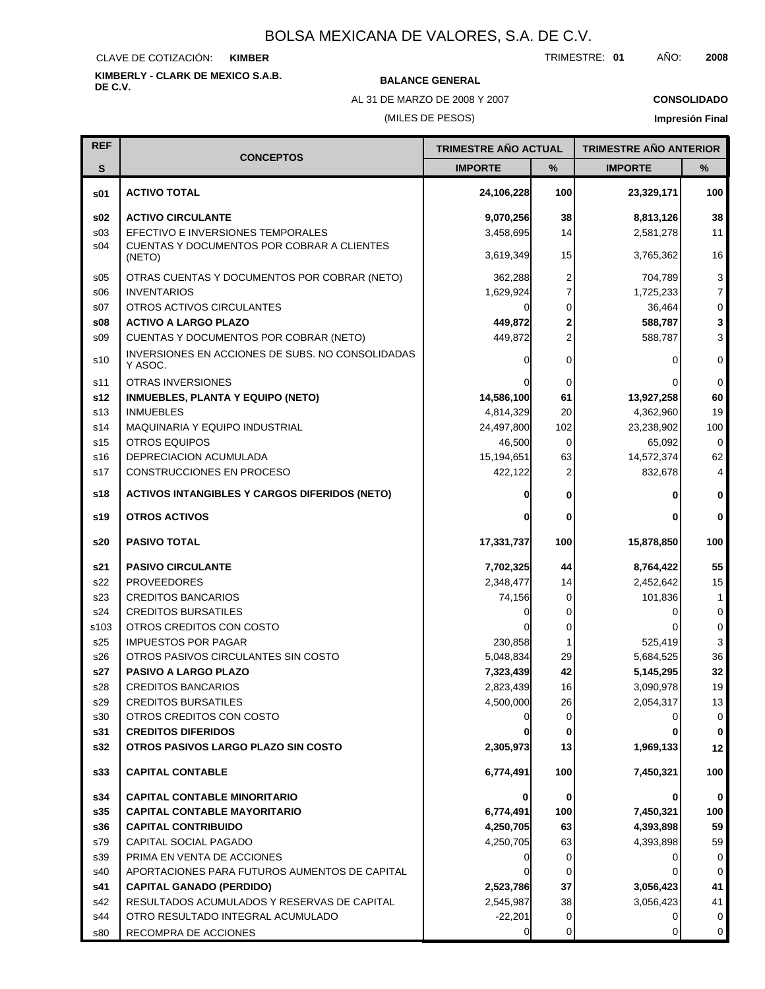CLAVE DE COTIZACIÓN: **KIMBER**

**KIMBERLY - CLARK DE MEXICO S.A.B.**

**BALANCE GENERAL** 

AL 31 DE MARZO DE 2008 Y 2007

(MILES DE PESOS)

**CONSOLIDADO Impresión Final**

| <b>REF</b>      |                                                             | <b>TRIMESTRE AÑO ACTUAL</b> |                | <b>TRIMESTRE AÑO ANTERIOR</b> |                |
|-----------------|-------------------------------------------------------------|-----------------------------|----------------|-------------------------------|----------------|
| S               | <b>CONCEPTOS</b>                                            | <b>IMPORTE</b>              | %              | <b>IMPORTE</b>                | $\frac{9}{6}$  |
| s01             | <b>ACTIVO TOTAL</b>                                         | 24,106,228                  | 100            | 23,329,171                    | 100            |
| s02             | <b>ACTIVO CIRCULANTE</b>                                    | 9,070,256                   | 38             | 8,813,126                     | 38             |
| s <sub>03</sub> | EFECTIVO E INVERSIONES TEMPORALES                           | 3,458,695                   | 14             | 2,581,278                     | 11             |
| s04             | CUENTAS Y DOCUMENTOS POR COBRAR A CLIENTES<br>(NETO)        | 3,619,349                   | 15             | 3,765,362                     | 16             |
| s05             | OTRAS CUENTAS Y DOCUMENTOS POR COBRAR (NETO)                | 362,288                     | 2              | 704,789                       | $\mathbf{3}$   |
| \$06            | <b>INVENTARIOS</b>                                          | 1,629,924                   | 7              | 1,725,233                     | $\overline{7}$ |
| s07             | OTROS ACTIVOS CIRCULANTES                                   |                             | $\Omega$       | 36,464                        | $\mathbf 0$    |
| s08             | <b>ACTIVO A LARGO PLAZO</b>                                 | 449,872                     | $\overline{2}$ | 588,787                       | 3              |
| S <sub>09</sub> | CUENTAS Y DOCUMENTOS POR COBRAR (NETO)                      | 449,872                     | $\overline{2}$ | 588,787                       | 3              |
| s10             | INVERSIONES EN ACCIONES DE SUBS. NO CONSOLIDADAS<br>Y ASOC. | 0                           | $\Omega$       | 0                             | $\mathbf 0$    |
| s11             | <b>OTRAS INVERSIONES</b>                                    |                             | 0              |                               | 0              |
| s12             | <b>INMUEBLES, PLANTA Y EQUIPO (NETO)</b>                    | 14,586,100                  | 61             | 13,927,258                    | 60             |
| s <sub>13</sub> | <b>INMUEBLES</b>                                            | 4,814,329                   | 20             | 4,362,960                     | 19             |
| s14             | MAQUINARIA Y EQUIPO INDUSTRIAL                              | 24,497,800                  | 102            | 23,238,902                    | 100            |
| s <sub>15</sub> | <b>OTROS EQUIPOS</b>                                        | 46,500                      | $\Omega$       | 65,092                        | $\mathbf 0$    |
| s16             | DEPRECIACION ACUMULADA                                      | 15,194,651                  | 63             | 14,572,374                    | 62             |
| s17             | CONSTRUCCIONES EN PROCESO                                   | 422,122                     |                | 832,678                       | 4              |
| s18             | <b>ACTIVOS INTANGIBLES Y CARGOS DIFERIDOS (NETO)</b>        | 0                           | 0              | 0                             | 0              |
| s19             | <b>OTROS ACTIVOS</b>                                        |                             | 0              | 0                             | $\bf{0}$       |
| s20             | <b>PASIVO TOTAL</b>                                         | 17,331,737                  | 100            | 15,878,850                    | 100            |
| s21             | <b>PASIVO CIRCULANTE</b>                                    | 7,702,325                   | 44             | 8,764,422                     | 55             |
| s22             | <b>PROVEEDORES</b>                                          | 2,348,477                   | 14             | 2,452,642                     | 15             |
| s23             | <b>CREDITOS BANCARIOS</b>                                   | 74,156                      | $\Omega$       | 101,836                       | 1              |
| s24             | <b>CREDITOS BURSATILES</b>                                  |                             | 0              | 0                             | $\mathbf 0$    |
| s103            | OTROS CREDITOS CON COSTO                                    |                             | 0              |                               | $\mathbf 0$    |
| s25             | <b>IMPUESTOS POR PAGAR</b>                                  | 230,858                     |                | 525,419                       | 3              |
| s26             | OTROS PASIVOS CIRCULANTES SIN COSTO                         | 5,048,834                   | 29             | 5,684,525                     | 36             |
| s27             | PASIVO A LARGO PLAZO                                        | 7,323,439                   | 42             | 5,145,295                     | 32             |
| s28             | <b>CREDITOS BANCARIOS</b>                                   | 2,823,439                   | 16             | 3,090,978                     | 19             |
| s29             | <b>CREDITOS BURSATILES</b>                                  | 4,500,000                   | 26             | 2,054,317                     | 13             |
| s30             | OTROS CREDITOS CON COSTO                                    |                             | 0              |                               | 0              |
| s31             | <b>CREDITOS DIFERIDOS</b>                                   |                             | 0              |                               | 0              |
| s32             | OTROS PASIVOS LARGO PLAZO SIN COSTO                         | 2,305,973                   | 13             | 1,969,133                     | 12             |
| s33             | <b>CAPITAL CONTABLE</b>                                     | 6,774,491                   | 100            | 7,450,321                     | 100            |
| s34             | <b>CAPITAL CONTABLE MINORITARIO</b>                         |                             | 0              |                               | $\bf{0}$       |
| s35             | <b>CAPITAL CONTABLE MAYORITARIO</b>                         | 6,774,491                   | 100            | 7,450,321                     | 100            |
| s36             | <b>CAPITAL CONTRIBUIDO</b>                                  | 4,250,705                   | 63             | 4,393,898                     | 59             |
| s79             | CAPITAL SOCIAL PAGADO                                       | 4,250,705                   | 63             | 4,393,898                     | 59             |
| s39             | PRIMA EN VENTA DE ACCIONES                                  |                             | 0              | 0                             | 0              |
| s40             | APORTACIONES PARA FUTUROS AUMENTOS DE CAPITAL               |                             | 0              | 0                             | $\Omega$       |
| s41             | <b>CAPITAL GANADO (PERDIDO)</b>                             | 2,523,786                   | 37             | 3,056,423                     | 41             |
| s42             | RESULTADOS ACUMULADOS Y RESERVAS DE CAPITAL                 | 2,545,987                   | 38             | 3,056,423                     | 41             |
| s44             | OTRO RESULTADO INTEGRAL ACUMULADO                           | $-22,201$                   | 0              | 0                             | 0              |
| s80             | RECOMPRA DE ACCIONES                                        | $\overline{0}$              | 0              | 0                             | 0              |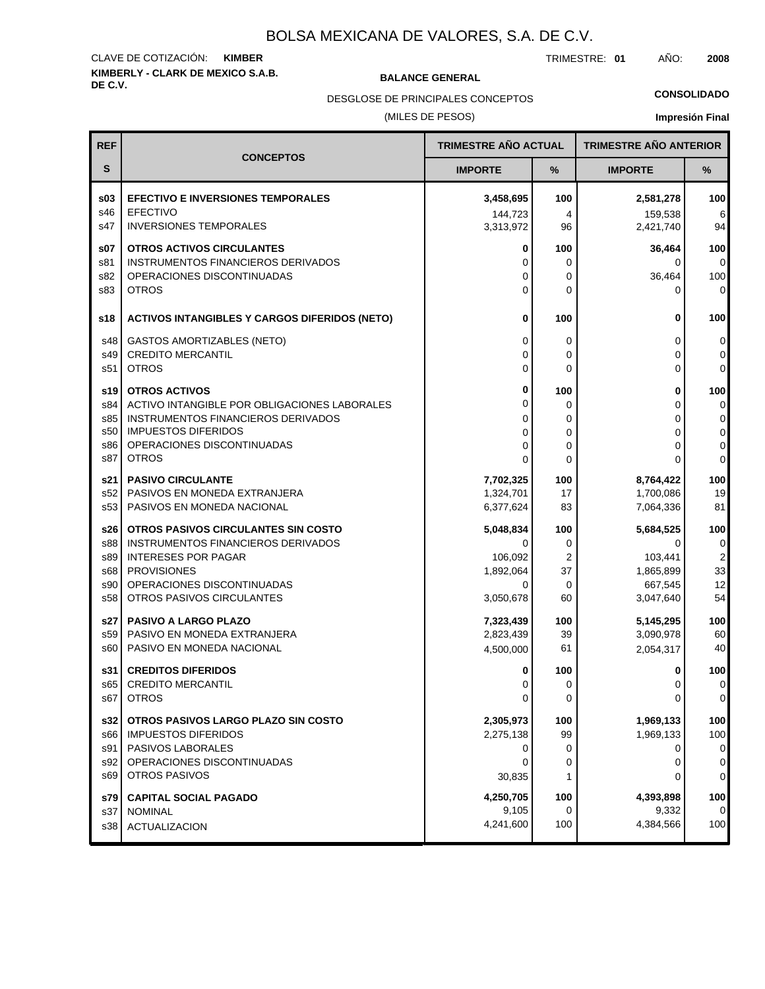## **KIMBERLY - CLARK DE MEXICO S.A.B.** CLAVE DE COTIZACIÓN: **KIMBER**

**BALANCE GENERAL** 

TRIMESTRE: **01** AÑO: **2008**

DESGLOSE DE PRINCIPALES CONCEPTOS

#### (MILES DE PESOS)

#### **CONSOLIDADO**

| <b>REF</b> |                                                      | <b>TRIMESTRE AÑO ACTUAL</b> |          | <b>TRIMESTRE AÑO ANTERIOR</b> |                |
|------------|------------------------------------------------------|-----------------------------|----------|-------------------------------|----------------|
| S          | <b>CONCEPTOS</b>                                     | <b>IMPORTE</b>              | $\%$     | <b>IMPORTE</b>                | $\%$           |
| s03        | <b>EFECTIVO E INVERSIONES TEMPORALES</b>             | 3,458,695                   | 100      | 2,581,278                     | 100            |
| s46        | <b>EFECTIVO</b>                                      | 144.723                     | 4        | 159,538                       | 6              |
| s47        | <b>INVERSIONES TEMPORALES</b>                        | 3,313,972                   | 96       | 2,421,740                     | 94             |
| s07        | <b>OTROS ACTIVOS CIRCULANTES</b>                     | 0                           | 100      | 36,464                        | 100            |
| s81        | INSTRUMENTOS FINANCIEROS DERIVADOS                   | 0                           | 0        | 0                             | 0              |
| s82        | OPERACIONES DISCONTINUADAS                           | $\Omega$                    | 0        | 36,464                        | 100            |
| s83        | <b>OTROS</b>                                         | 0                           | $\Omega$ | 0                             | $\mathbf 0$    |
| s18        | <b>ACTIVOS INTANGIBLES Y CARGOS DIFERIDOS (NETO)</b> | 0                           | 100      | 0                             | 100            |
| s48        | <b>GASTOS AMORTIZABLES (NETO)</b>                    | 0                           | 0        | 0                             | 0              |
| s49        | <b>CREDITO MERCANTIL</b>                             | 0                           | $\Omega$ | 0                             | 0              |
| s51        | <b>OTROS</b>                                         | 0                           | $\Omega$ | 0                             | 0              |
| s19        | <b>OTROS ACTIVOS</b>                                 | 0                           | 100      | 0                             | 100            |
| s84        | ACTIVO INTANGIBLE POR OBLIGACIONES LABORALES         | 0                           | 0        | 0                             | 0              |
| s85        | INSTRUMENTOS FINANCIEROS DERIVADOS                   | 0                           | 0        | 0                             | $\overline{0}$ |
| s50        | <b>IMPUESTOS DIFERIDOS</b>                           | 0                           | 0        | 0                             | 0              |
| s86        | OPERACIONES DISCONTINUADAS                           | 0                           | 0        | 0                             | 0              |
| s87        | <b>OTROS</b>                                         | $\Omega$                    | $\Omega$ | 0                             | 0              |
| s21        | <b>PASIVO CIRCULANTE</b>                             | 7,702,325                   | 100      | 8,764,422                     | 100            |
| s52        | PASIVOS EN MONEDA EXTRANJERA                         | 1,324,701                   | 17       | 1,700,086                     | 19             |
| s53        | PASIVOS EN MONEDA NACIONAL                           | 6,377,624                   | 83       | 7,064,336                     | 81             |
| s26 l      | OTROS PASIVOS CIRCULANTES SIN COSTO                  | 5,048,834                   | 100      | 5,684,525                     | 100            |
| s88        | INSTRUMENTOS FINANCIEROS DERIVADOS                   | 0                           | 0        | 0                             | 0              |
| s89        | <b>INTERESES POR PAGAR</b>                           | 106,092                     | 2        | 103,441                       | $\mathbf 2$    |
| s68        | <b>PROVISIONES</b>                                   | 1,892,064                   | 37       | 1,865,899                     | 33             |
| s90        | OPERACIONES DISCONTINUADAS                           | 0                           | 0        | 667,545                       | 12             |
| s58        | OTROS PASIVOS CIRCULANTES                            | 3,050,678                   | 60       | 3,047,640                     | 54             |
| s27        | <b>PASIVO A LARGO PLAZO</b>                          | 7,323,439                   | 100      | 5,145,295                     | 100            |
| s59        | PASIVO EN MONEDA EXTRANJERA                          | 2,823,439                   | 39       | 3,090,978                     | 60             |
| s60        | PASIVO EN MONEDA NACIONAL                            | 4,500,000                   | 61       | 2,054,317                     | 40             |
| s31        | <b>CREDITOS DIFERIDOS</b>                            | 0                           | 100      | 0                             | 100            |
| s65        | <b>CREDITO MERCANTIL</b>                             | O                           | 0        | $\Omega$                      | $\Omega$       |
| s67        | <b>OTROS</b>                                         | 0                           | 0        | 0                             | 0              |
| s32        | OTROS PASIVOS LARGO PLAZO SIN COSTO                  | 2,305,973                   | 100      | 1,969,133                     | 100            |
| s66        | <b>IMPUESTOS DIFERIDOS</b>                           | 2,275,138                   | 99       | 1,969,133                     | 100            |
| s91        | PASIVOS LABORALES                                    | 0                           | 0        | 0                             | 0              |
| s92        | OPERACIONES DISCONTINUADAS                           | 0                           | 0        | 0                             | 0              |
| s69        | <b>OTROS PASIVOS</b>                                 | 30,835                      | 1        | 0                             | 0              |
| s79        | <b>CAPITAL SOCIAL PAGADO</b>                         | 4,250,705                   | 100      | 4,393,898                     | 100            |
| s37        | <b>NOMINAL</b>                                       | 9,105                       | 0        | 9,332                         | 0              |
| s38        | <b>ACTUALIZACION</b>                                 | 4,241,600                   | 100      | 4,384,566                     | 100            |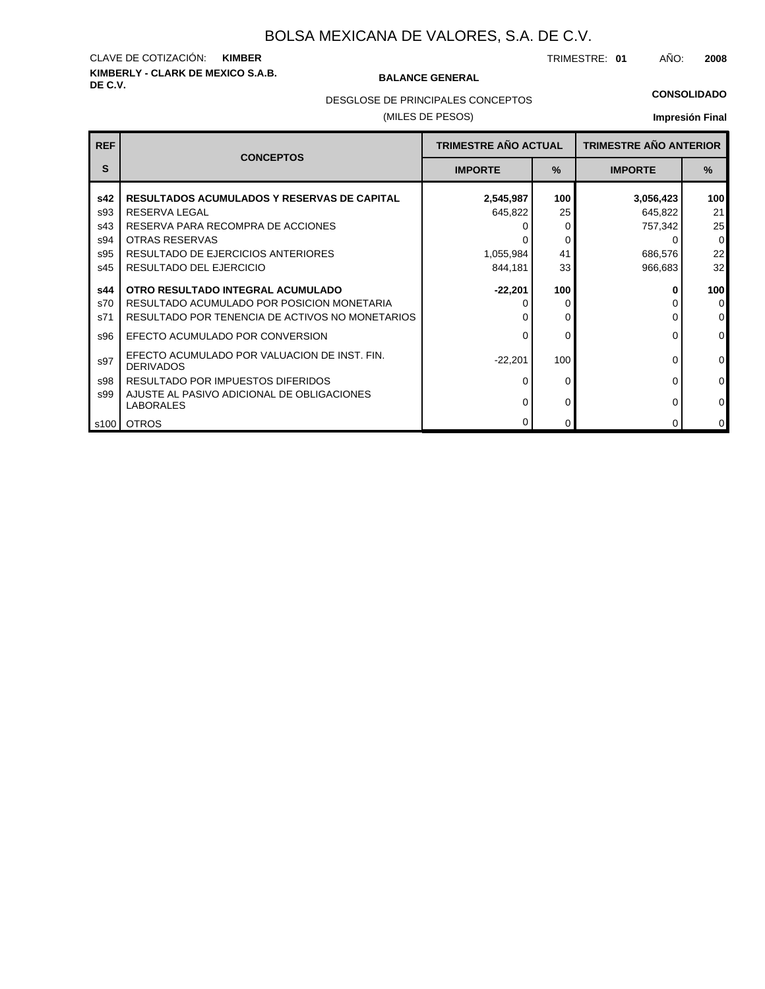## **KIMBERLY - CLARK DE MEXICO S.A.B.** CLAVE DE COTIZACIÓN: **KIMBER**

#### **BALANCE GENERAL**

TRIMESTRE: **01** AÑO: **2008**

#### **CONSOLIDADO**

DESGLOSE DE PRINCIPALES CONCEPTOS

#### (MILES DE PESOS)

| <b>REF</b> |                                                                                 | <b>TRIMESTRE AÑO ACTUAL</b> |          | <b>TRIMESTRE AÑO ANTERIOR</b> |                  |
|------------|---------------------------------------------------------------------------------|-----------------------------|----------|-------------------------------|------------------|
| S          | <b>CONCEPTOS</b>                                                                | <b>IMPORTE</b>              | $\%$     | <b>IMPORTE</b>                | %                |
| s42        | <b>RESULTADOS ACUMULADOS Y RESERVAS DE CAPITAL</b>                              | 2,545,987                   | 100      | 3,056,423                     | 100 <sub>l</sub> |
| s93        | <b>RESERVA LEGAL</b>                                                            | 645,822                     | 25       | 645,822                       | 21               |
| s43        | RESERVA PARA RECOMPRA DE ACCIONES                                               |                             | 0        | 757,342                       | 25               |
| s94        | OTRAS RESERVAS                                                                  |                             | 0        | 0                             | 0                |
| s95        | RESULTADO DE EJERCICIOS ANTERIORES                                              | 1,055,984                   | 41       | 686,576                       | 22               |
| s45        | RESULTADO DEL EJERCICIO                                                         | 844,181                     | 33       | 966,683                       | 32               |
| s44<br>s70 | OTRO RESULTADO INTEGRAL ACUMULADO<br>RESULTADO ACUMULADO POR POSICION MONETARIA | $-22.201$                   | 100<br>0 | ŋ                             | <b>100</b><br> 0 |
| s71        | RESULTADO POR TENENCIA DE ACTIVOS NO MONETARIOS                                 |                             | 0        |                               | $\overline{0}$   |
| s96        | EFECTO ACUMULADO POR CONVERSION                                                 |                             | 0        | $\Omega$                      | $\overline{0}$   |
| s97        | EFECTO ACUMULADO POR VALUACION DE INST. FIN.<br><b>DERIVADOS</b>                | $-22,201$                   | 100      | 0                             | $\overline{0}$   |
| s98        | RESULTADO POR IMPUESTOS DIFERIDOS                                               |                             | $\Omega$ | $\Omega$                      | $\overline{0}$   |
| s99        | AJUSTE AL PASIVO ADICIONAL DE OBLIGACIONES<br><b>LABORALES</b>                  |                             | 0        | 0                             | $\overline{0}$   |
|            | s100   OTROS                                                                    |                             | $\Omega$ | $\Omega$                      | $\overline{0}$   |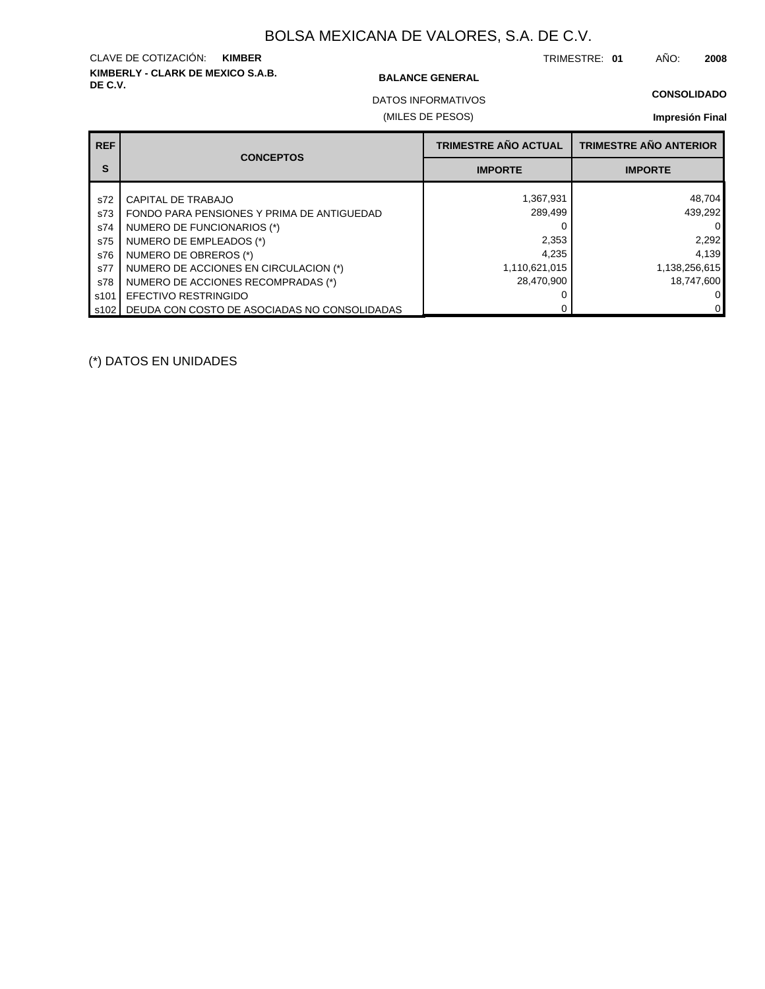## **KIMBERLY - CLARK DE MEXICO S.A.B.** CLAVE DE COTIZACIÓN: **KIMBER**

#### **BALANCE GENERAL**

TRIMESTRE: **01** AÑO: **2008**

### **CONSOLIDADO**

(MILES DE PESOS) DATOS INFORMATIVOS

### **Impresión Final**

| <b>REF</b>       | <b>CONCEPTOS</b>                             | <b>TRIMESTRE AÑO ACTUAL</b> | <b>TRIMESTRE AÑO ANTERIOR</b> |
|------------------|----------------------------------------------|-----------------------------|-------------------------------|
| S                |                                              | <b>IMPORTE</b>              | <b>IMPORTE</b>                |
| s72              | CAPITAL DE TRABAJO                           | 1,367,931                   | 48,704                        |
| s73              | FONDO PARA PENSIONES Y PRIMA DE ANTIGUEDAD   | 289,499                     | 439,292                       |
| s74              | NUMERO DE FUNCIONARIOS (*)                   |                             |                               |
| s75              | NUMERO DE EMPLEADOS (*)                      | 2,353                       | 2,292                         |
| s76              | NUMERO DE OBREROS (*)                        | 4.235                       | 4,139                         |
| s77              | NUMERO DE ACCIONES EN CIRCULACION (*)        | 1,110,621,015               | 1,138,256,615                 |
| s78              | NUMERO DE ACCIONES RECOMPRADAS (*)           | 28.470.900                  | 18.747.600                    |
| s <sub>101</sub> | EFECTIVO RESTRINGIDO                         |                             |                               |
| s102 l           | DEUDA CON COSTO DE ASOCIADAS NO CONSOLIDADAS |                             |                               |

(\*) DATOS EN UNIDADES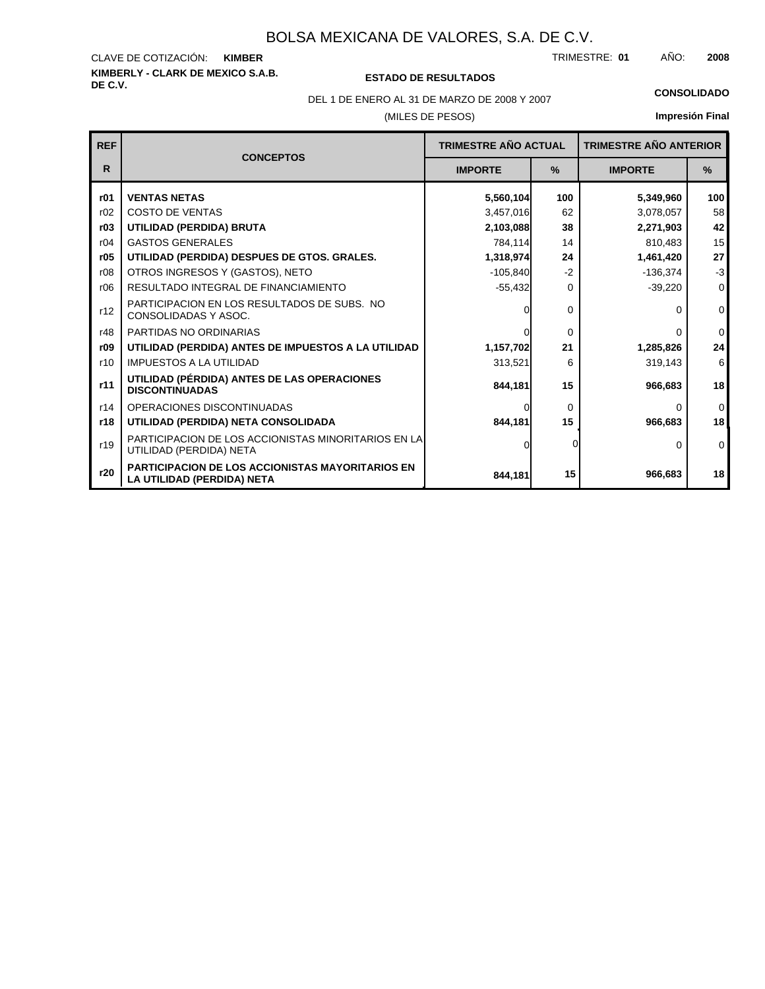#### **KIMBERLY - CLARK DE MEXICO S.A.B.** CLAVE DE COTIZACIÓN: TRIMESTRE: AÑO: **KIMBER 01 2008**

### **DE C.V. ESTADO DE RESULTADOS**

(MILES DE PESOS) DEL 1 DE ENERO AL 31 DE MARZO DE 2008 Y 2007 **CONSOLIDADO**

| <b>REF</b> |                                                                                       | <b>TRIMESTRE AÑO ACTUAL</b> |               | <b>TRIMESTRE AÑO ANTERIOR</b> |               |
|------------|---------------------------------------------------------------------------------------|-----------------------------|---------------|-------------------------------|---------------|
| R.         | <b>CONCEPTOS</b>                                                                      | <b>IMPORTE</b>              | $\frac{9}{6}$ | <b>IMPORTE</b>                | $\frac{9}{6}$ |
| r01        | <b>VENTAS NETAS</b>                                                                   | 5,560,104                   | 100           | 5,349,960                     | 100           |
| r02        | <b>COSTO DE VENTAS</b>                                                                | 3,457,016                   | 62            | 3,078,057                     | 58            |
| r03        | UTILIDAD (PERDIDA) BRUTA                                                              | 2,103,088                   | 38            | 2,271,903                     | 42            |
| r04        | <b>GASTOS GENERALES</b>                                                               | 784,114                     | 14            | 810,483                       | 15            |
| r05        | UTILIDAD (PERDIDA) DESPUES DE GTOS. GRALES.                                           | 1,318,974                   | 24            | 1,461,420                     | 27            |
| r08        | OTROS INGRESOS Y (GASTOS), NETO                                                       | $-105.840$                  | $-2$          | $-136,374$                    | $-3$          |
| r06        | RESULTADO INTEGRAL DE FINANCIAMIENTO                                                  | $-55,432$                   | $\Omega$      | $-39,220$                     | $\mathbf 0$   |
| r12        | PARTICIPACION EN LOS RESULTADOS DE SUBS. NO<br>CONSOLIDADAS Y ASOC.                   | <sup>0</sup>                | $\Omega$      | 0                             | $\Omega$      |
| r48        | PARTIDAS NO ORDINARIAS                                                                | $\Omega$                    | $\Omega$      | O                             | $\mathbf 0$   |
| r09        | UTILIDAD (PERDIDA) ANTES DE IMPUESTOS A LA UTILIDAD                                   | 1,157,702                   | 21            | 1,285,826                     | 24            |
| r10        | <b>IMPUESTOS A LA UTILIDAD</b>                                                        | 313,521                     | 6             | 319,143                       | 6             |
| r11        | UTILIDAD (PÉRDIDA) ANTES DE LAS OPERACIONES<br><b>DISCONTINUADAS</b>                  | 844,181                     | 15            | 966,683                       | 18            |
| r14        | OPERACIONES DISCONTINUADAS                                                            | $\Omega$                    | $\Omega$      | $\Omega$                      | $\Omega$      |
| r18        | UTILIDAD (PERDIDA) NETA CONSOLIDADA                                                   | 844,181                     | 15            | 966,683                       | 18            |
| r19        | PARTICIPACION DE LOS ACCIONISTAS MINORITARIOS EN LA<br>UTILIDAD (PERDIDA) NETA        | 0                           |               | 0                             | $\Omega$      |
| r20        | <b>PARTICIPACION DE LOS ACCIONISTAS MAYORITARIOS EN</b><br>LA UTILIDAD (PERDIDA) NETA | 844.181                     | 15            | 966,683                       | 18            |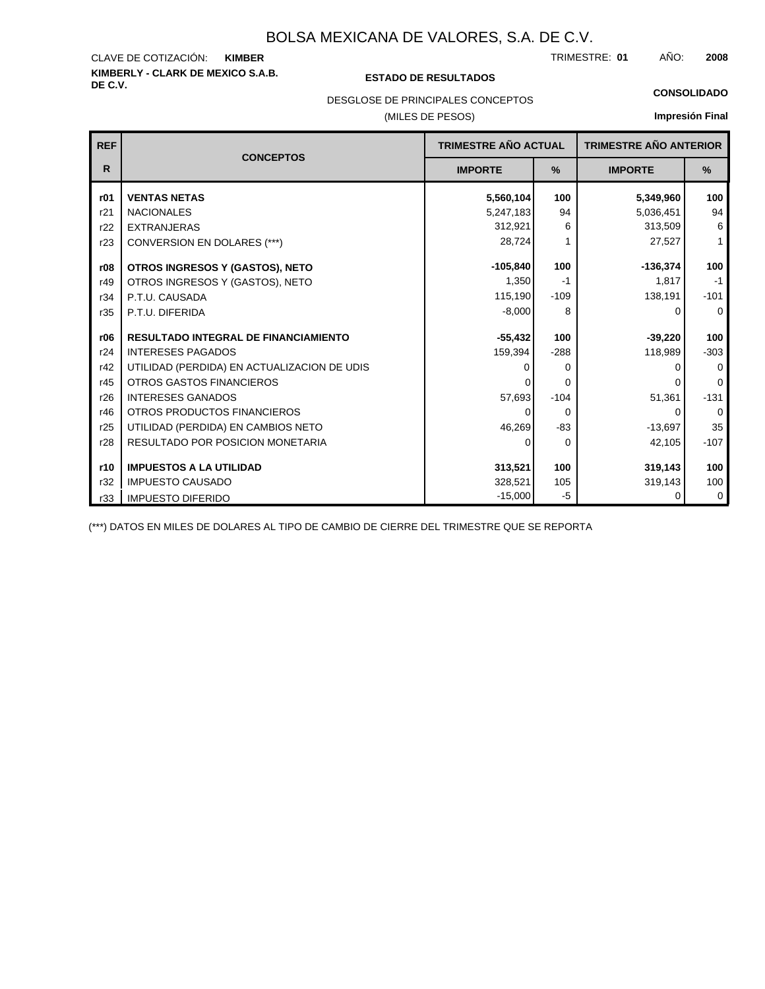#### **KIMBERLY - CLARK DE MEXICO S.A.B.** CLAVE DE COTIZACIÓN: TRIMESTRE: AÑO: **KIMBER 01 2008**

#### **DE C.V. ESTADO DE RESULTADOS**

DESGLOSE DE PRINCIPALES CONCEPTOS

(MILES DE PESOS)

| <b>CONSOLIDADO</b> |  |  |
|--------------------|--|--|

**Impresión Final**

| <b>REF</b> | <b>CONCEPTOS</b>                            | <b>TRIMESTRE AÑO ACTUAL</b> |        | <b>TRIMESTRE AÑO ANTERIOR</b> |              |
|------------|---------------------------------------------|-----------------------------|--------|-------------------------------|--------------|
| R          |                                             | <b>IMPORTE</b>              | %      | <b>IMPORTE</b>                | %            |
| r01        | <b>VENTAS NETAS</b>                         | 5,560,104                   | 100    | 5,349,960                     | 100          |
| r21        | <b>NACIONALES</b>                           | 5,247,183                   | 94     | 5,036,451                     | 94           |
| r22        | <b>EXTRANJERAS</b>                          | 312,921                     | 6      | 313,509                       | 6            |
| r23        | <b>CONVERSION EN DOLARES (***)</b>          | 28,724                      |        | 27,527                        | $\mathbf{1}$ |
| r08        | OTROS INGRESOS Y (GASTOS), NETO             | $-105,840$                  | 100    | $-136,374$                    | 100          |
| r49        | OTROS INGRESOS Y (GASTOS), NETO             | 1,350                       | $-1$   | 1.817                         | $-1$         |
| r34        | P.T.U. CAUSADA                              | 115,190                     | $-109$ | 138,191                       | $-101$       |
| r35        | P.T.U. DIFERIDA                             | $-8,000$                    | 8      | 0                             | $\Omega$     |
| r06        | <b>RESULTADO INTEGRAL DE FINANCIAMIENTO</b> | $-55,432$                   | 100    | $-39,220$                     | 100          |
| r24        | <b>INTERESES PAGADOS</b>                    | 159,394                     | $-288$ | 118,989                       | $-303$       |
| r42        | UTILIDAD (PERDIDA) EN ACTUALIZACION DE UDIS | $\Omega$                    | 0      |                               | $\Omega$     |
| r45        | <b>OTROS GASTOS FINANCIEROS</b>             |                             | 0      |                               | $\Omega$     |
| r26        | <b>INTERESES GANADOS</b>                    | 57,693                      | $-104$ | 51,361                        | $-131$       |
| r46        | OTROS PRODUCTOS FINANCIEROS                 | 0                           | 0      | 0                             | $\Omega$     |
| r25        | UTILIDAD (PERDIDA) EN CAMBIOS NETO          | 46,269                      | $-83$  | $-13,697$                     | 35           |
| r28        | <b>RESULTADO POR POSICION MONETARIA</b>     | 0                           | 0      | 42,105                        | $-107$       |
| r10        | <b>IMPUESTOS A LA UTILIDAD</b>              | 313,521                     | 100    | 319,143                       | 100          |
| r32        | <b>IMPUESTO CAUSADO</b>                     | 328,521                     | 105    | 319,143                       | 100          |
| r33        | <b>IMPUESTO DIFERIDO</b>                    | $-15,000$                   | -5     | 0                             | 0            |

(\*\*\*) DATOS EN MILES DE DOLARES AL TIPO DE CAMBIO DE CIERRE DEL TRIMESTRE QUE SE REPORTA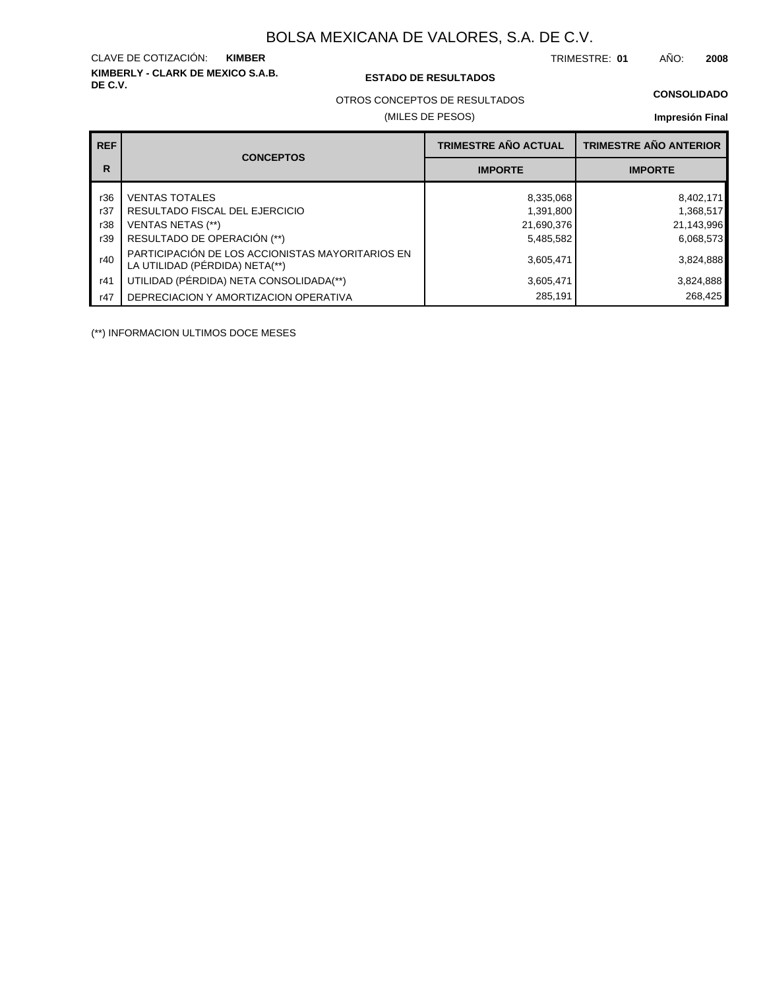## **KIMBERLY - CLARK DE MEXICO S.A.B.** CLAVE DE COTIZACIÓN:

#### **DE C.V. ESTADO DE RESULTADOS**

TRIMESTRE: AÑO: **KIMBER 01 2008**

OTROS CONCEPTOS DE RESULTADOS

#### (MILES DE PESOS)

#### **CONSOLIDADO**

**Impresión Final**

| <b>REF</b> |                                                                                    | TRIMESTRE AÑO ACTUAL | <b>TRIMESTRE AÑO ANTERIOR</b> |
|------------|------------------------------------------------------------------------------------|----------------------|-------------------------------|
| R          | <b>CONCEPTOS</b>                                                                   | <b>IMPORTE</b>       | <b>IMPORTE</b>                |
| r36        | <b>VENTAS TOTALES</b>                                                              | 8,335,068            | 8,402,171                     |
| r37        | RESULTADO FISCAL DEL EJERCICIO                                                     | 1,391,800            | 1,368,517                     |
| r38        | <b>VENTAS NETAS (**)</b>                                                           | 21,690,376           | 21,143,996                    |
| r39        | RESULTADO DE OPERACIÓN (**)                                                        | 5,485,582            | 6,068,573                     |
| r40        | PARTICIPACIÓN DE LOS ACCIONISTAS MAYORITARIOS EN<br>LA UTILIDAD (PÉRDIDA) NETA(**) | 3,605,471            | 3,824,888                     |
| r41        | UTILIDAD (PÉRDIDA) NETA CONSOLIDADA(**)                                            | 3,605,471            | 3,824,888                     |
| r47        | DEPRECIACION Y AMORTIZACION OPERATIVA                                              | 285,191              | 268,425                       |

(\*\*) INFORMACION ULTIMOS DOCE MESES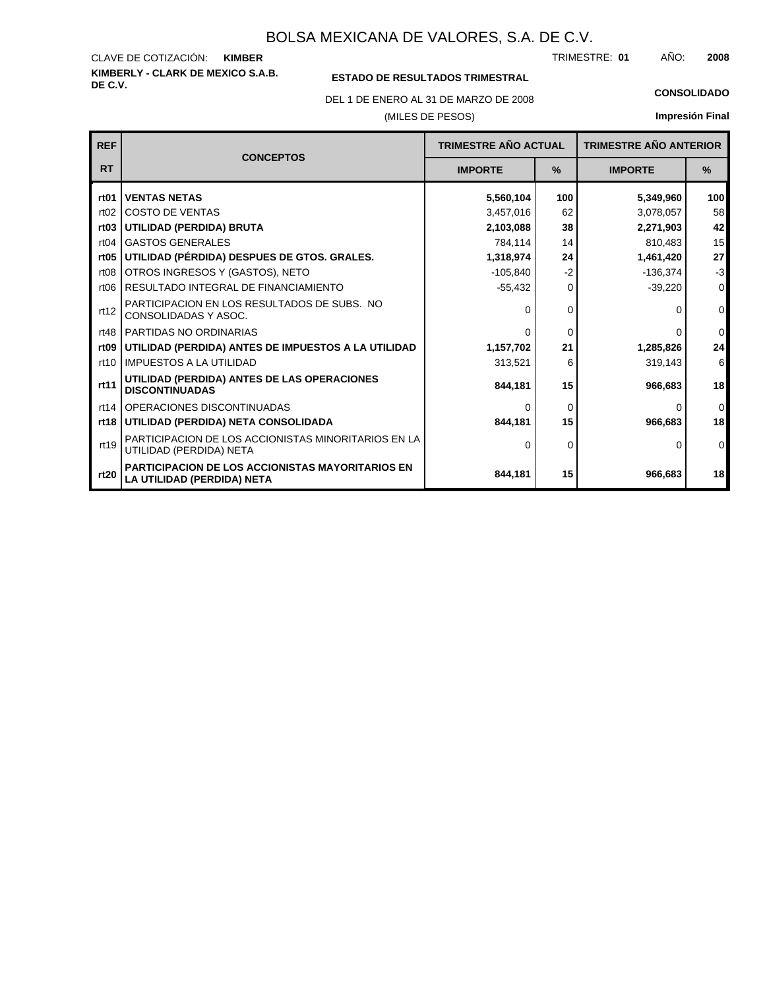**KIMBERLY - CLARK DE MEXICO S.A.B.** CLAVE DE COTIZACIÓN: TRIMESTRE: AÑO: **KIMBER 01 2008**

### **ESTADO DE RESULTADOS TRIMESTRAL**

DEL 1 DE ENERO AL 31 DE MARZO DE 2008 **CONSOLIDADO**

(MILES DE PESOS)

| <b>REF</b>       | <b>CONCEPTOS</b>                                                                      |                | <b>TRIMESTRE AÑO ANTERIOR</b><br><b>TRIMESTRE AÑO ACTUAL</b> |                |                  |
|------------------|---------------------------------------------------------------------------------------|----------------|--------------------------------------------------------------|----------------|------------------|
| <b>RT</b>        |                                                                                       | <b>IMPORTE</b> | $\frac{9}{6}$                                                | <b>IMPORTE</b> | $\frac{9}{6}$    |
| rt <sub>01</sub> | <b>VENTAS NETAS</b>                                                                   | 5,560,104      | 100                                                          | 5,349,960      | 100 <sub>l</sub> |
| rt02             | <b>COSTO DE VENTAS</b>                                                                | 3,457,016      | 62                                                           | 3,078,057      | 58               |
| rt03             | UTILIDAD (PERDIDA) BRUTA                                                              | 2,103,088      | 38                                                           | 2,271,903      | 42 <sub>1</sub>  |
| rt04             | <b>GASTOS GENERALES</b>                                                               | 784,114        | 14                                                           | 810,483        | 15               |
| rt <sub>05</sub> | UTILIDAD (PÉRDIDA) DESPUES DE GTOS. GRALES.                                           | 1,318,974      | 24                                                           | 1,461,420      | 27               |
| rt <sub>08</sub> | OTROS INGRESOS Y (GASTOS), NETO                                                       | $-105,840$     | $-2$                                                         | $-136,374$     | $-3$             |
| rt <sub>06</sub> | RESULTADO INTEGRAL DE FINANCIAMIENTO                                                  | $-55,432$      | 0                                                            | $-39,220$      | $\overline{0}$   |
| rt12             | PARTICIPACION EN LOS RESULTADOS DE SUBS. NO<br>CONSOLIDADAS Y ASOC.                   | 0              | 0                                                            | 0              | $\overline{0}$   |
| rt48             | PARTIDAS NO ORDINARIAS                                                                | $\Omega$       | $\Omega$                                                     | <sup>0</sup>   | $\overline{0}$   |
| rt <sub>09</sub> | UTILIDAD (PERDIDA) ANTES DE IMPUESTOS A LA UTILIDAD                                   | 1,157,702      | 21                                                           | 1,285,826      | 24               |
| rt10             | <b>IMPUESTOS A LA UTILIDAD</b>                                                        | 313,521        | 6                                                            | 319,143        | $6 \mid$         |
| rt11             | UTILIDAD (PERDIDA) ANTES DE LAS OPERACIONES<br><b>DISCONTINUADAS</b>                  | 844.181        | 15                                                           | 966,683        | 18               |
| rt14             | OPERACIONES DISCONTINUADAS                                                            | ∩              | 0                                                            | 0              | $\overline{0}$   |
| rt18             | UTILIDAD (PERDIDA) NETA CONSOLIDADA                                                   | 844.181        | 15                                                           | 966.683        | 18 <sup>1</sup>  |
| rt19             | PARTICIPACION DE LOS ACCIONISTAS MINORITARIOS EN LA<br>UTILIDAD (PERDIDA) NETA        | O              | 0                                                            | $\mathbf{0}$   | $\overline{0}$   |
| rt20             | <b>PARTICIPACION DE LOS ACCIONISTAS MAYORITARIOS EN</b><br>LA UTILIDAD (PERDIDA) NETA | 844,181        | 15                                                           | 966,683        | 18               |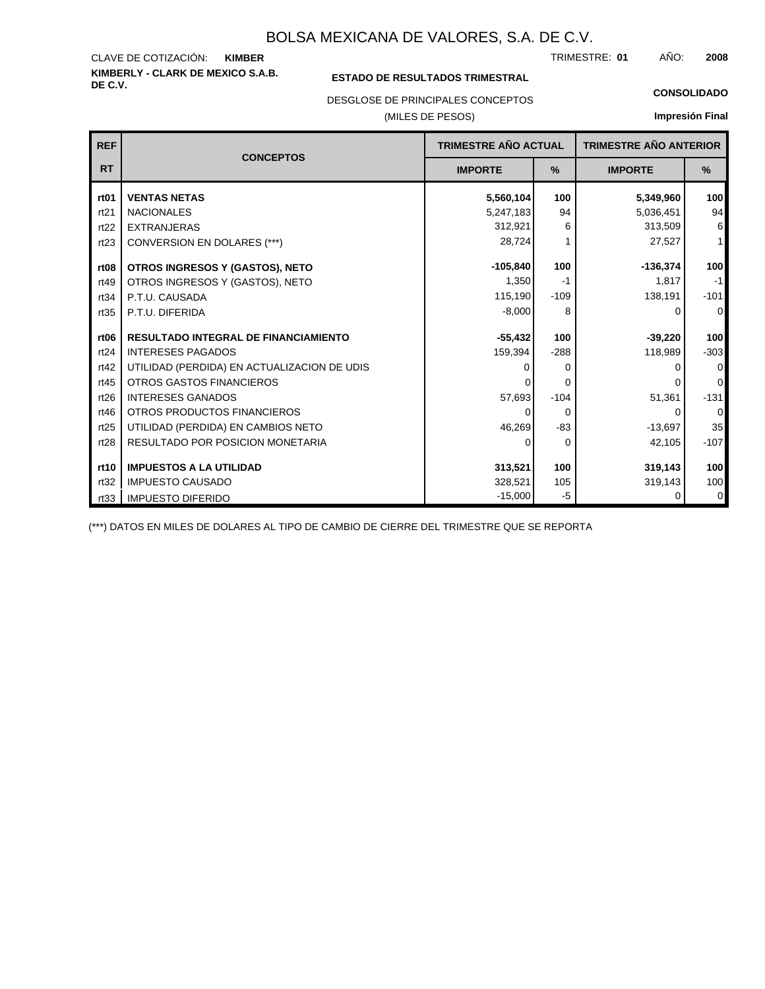**KIMBERLY - CLARK DE MEXICO S.A.B.** CLAVE DE COTIZACIÓN: TRIMESTRE: AÑO: **KIMBER 01 2008**

#### **ESTADO DE RESULTADOS TRIMESTRAL**

DESGLOSE DE PRINCIPALES CONCEPTOS

#### (MILES DE PESOS)

**CONSOLIDADO**

**Impresión Final**

| <b>REF</b>       |                                             | <b>TRIMESTRE AÑO ACTUAL</b> |          | <b>TRIMESTRE AÑO ANTERIOR</b> |              |
|------------------|---------------------------------------------|-----------------------------|----------|-------------------------------|--------------|
| <b>RT</b>        | <b>CONCEPTOS</b>                            | <b>IMPORTE</b>              | %        | <b>IMPORTE</b>                | $\%$         |
| rt <sub>01</sub> | <b>VENTAS NETAS</b>                         | 5,560,104                   | 100      | 5,349,960                     | 100          |
| rt21             | <b>NACIONALES</b>                           | 5,247,183                   | 94       | 5,036,451                     | 94           |
| rt22             | <b>EXTRANJERAS</b>                          | 312,921                     | 6        | 313,509                       | 6            |
| rt23             | CONVERSION EN DOLARES (***)                 | 28,724                      |          | 27,527                        | $\mathbf{1}$ |
| rt <sub>08</sub> | OTROS INGRESOS Y (GASTOS), NETO             | $-105,840$                  | 100      | $-136,374$                    | 100          |
| rt49             | OTROS INGRESOS Y (GASTOS), NETO             | 1,350                       | -1       | 1,817                         | $-1$         |
| rt34             | P.T.U. CAUSADA                              | 115,190                     | $-109$   | 138,191                       | $-101$       |
| rt35             | P.T.U. DIFERIDA                             | $-8,000$                    | 8        | 0                             | $\mathbf 0$  |
| rt <sub>06</sub> | <b>RESULTADO INTEGRAL DE FINANCIAMIENTO</b> | $-55,432$                   | 100      | $-39,220$                     | 100          |
| rt24             | <b>INTERESES PAGADOS</b>                    | 159,394                     | $-288$   | 118,989                       | $-303$       |
| rt42             | UTILIDAD (PERDIDA) EN ACTUALIZACION DE UDIS | O                           | 0        | ŋ                             | 0            |
| rt45             | <b>OTROS GASTOS FINANCIEROS</b>             |                             | 0        |                               | $\mathbf 0$  |
| rt26             | <b>INTERESES GANADOS</b>                    | 57,693                      | $-104$   | 51,361                        | $-131$       |
| rt46             | OTROS PRODUCTOS FINANCIEROS                 | 0                           | $\Omega$ | 0                             | $\mathbf 0$  |
| rt25             | UTILIDAD (PERDIDA) EN CAMBIOS NETO          | 46,269                      | $-83$    | $-13,697$                     | 35           |
| rt28             | <b>RESULTADO POR POSICION MONETARIA</b>     | 0                           | $\Omega$ | 42,105                        | $-107$       |
| rt10             | <b>IMPUESTOS A LA UTILIDAD</b>              | 313,521                     | 100      | 319,143                       | 100          |
| rt32             | <b>IMPUESTO CAUSADO</b>                     | 328,521                     | 105      | 319,143                       | 100          |
| rt33             | <b>IMPUESTO DIFERIDO</b>                    | $-15,000$                   | -5       | 0                             | 0            |

(\*\*\*) DATOS EN MILES DE DOLARES AL TIPO DE CAMBIO DE CIERRE DEL TRIMESTRE QUE SE REPORTA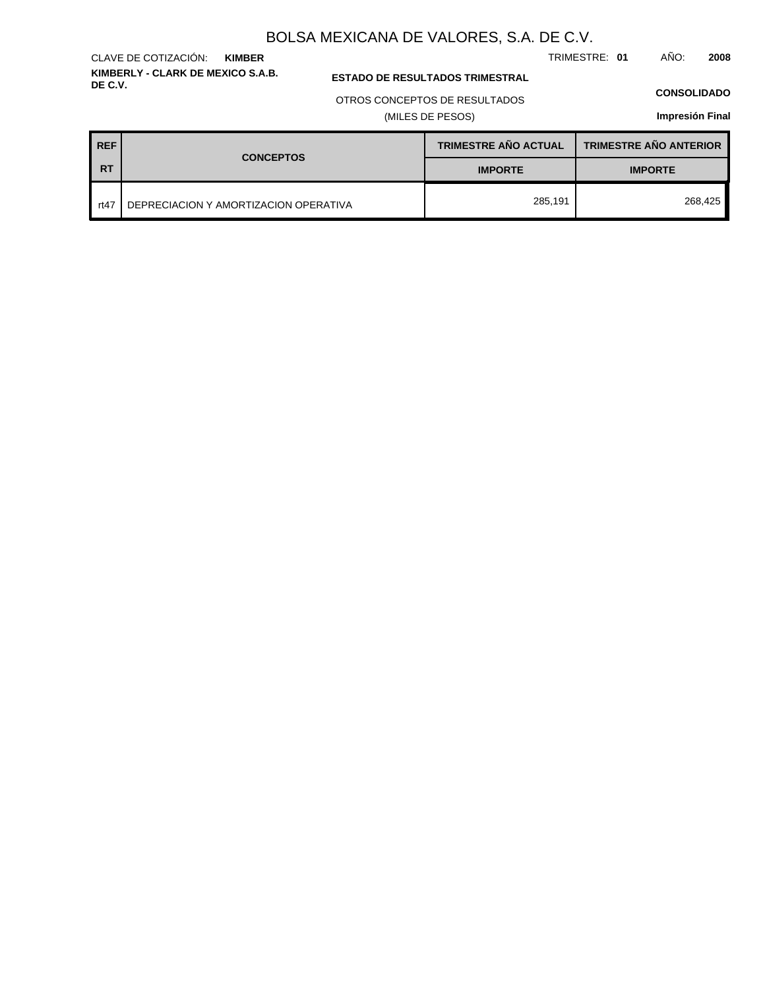TRIMESTRE: **01** AÑO: **2008**

#### **ESTADO DE RESULTADOS TRIMESTRAL**

OTROS CONCEPTOS DE RESULTADOS

#### (MILES DE PESOS)

#### **CONSOLIDADO**

**Impresión Final**

| <b>REF</b> | <b>CONCEPTOS</b>                      | <b>TRIMESTRE AÑO ACTUAL</b> | <b>TRIMESTRE AÑO ANTERIOR</b> |  |
|------------|---------------------------------------|-----------------------------|-------------------------------|--|
| <b>RT</b>  |                                       | <b>IMPORTE</b>              | <b>IMPORTE</b>                |  |
| rt47       | DEPRECIACION Y AMORTIZACION OPERATIVA | 285,191                     | 268,425                       |  |

#### **KIMBERLY - CLARK DE MEXICO S.A.B.** CLAVE DE COTIZACIÓN: **KIMBER**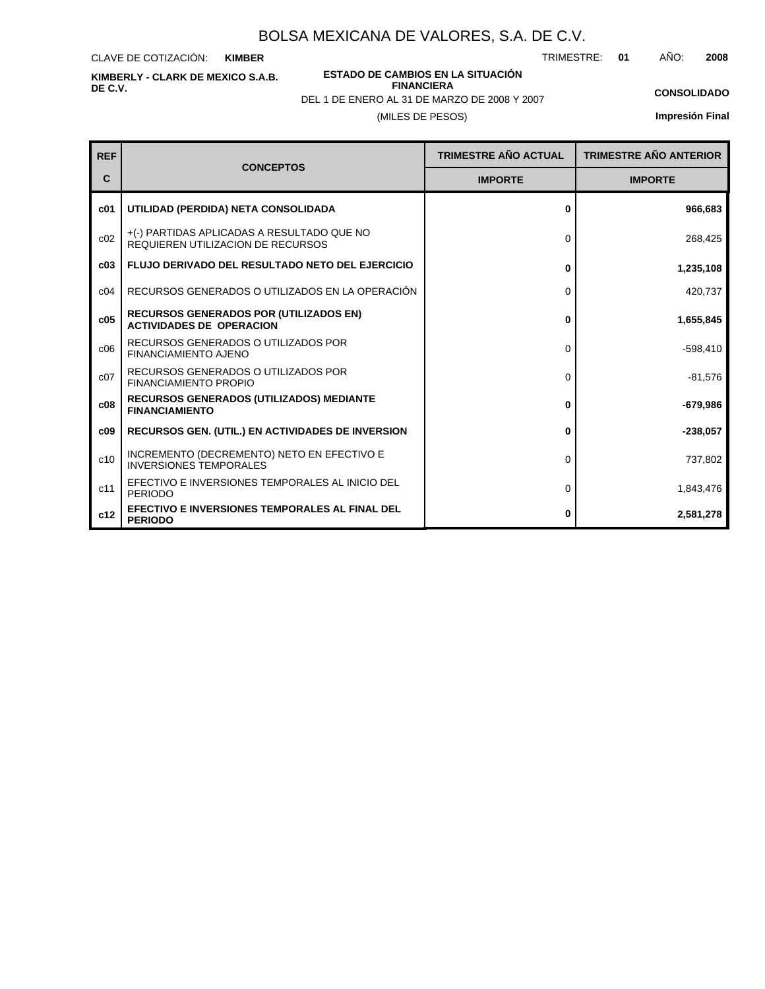CLAVE DE COTIZACIÓN: **KIMBER**

**KIMBERLY - CLARK DE MEXICO S.A.B. DE C.V.**

**ESTADO DE CAMBIOS EN LA SITUACIÓN FINANCIERA**

TRIMESTRE: **01** AÑO: **2008**

**CONSOLIDADO Impresión Final**

| DEL 1 DE ENERO AL 31 DE MARZO DE 2008 Y 2007 |
|----------------------------------------------|
| (MILES DE PESOS)                             |

| <b>REF</b>      |                                                                                        | <b>TRIMESTRE AÑO ACTUAL</b> | <b>TRIMESTRE AÑO ANTERIOR</b> |
|-----------------|----------------------------------------------------------------------------------------|-----------------------------|-------------------------------|
| С               | <b>CONCEPTOS</b>                                                                       | <b>IMPORTE</b>              | <b>IMPORTE</b>                |
| c <sub>01</sub> | UTILIDAD (PERDIDA) NETA CONSOLIDADA                                                    | 0                           | 966,683                       |
| c02             | +(-) PARTIDAS APLICADAS A RESULTADO QUE NO<br><b>REQUIEREN UTILIZACION DE RECURSOS</b> | 0                           | 268,425                       |
| c03             | <b>FLUJO DERIVADO DEL RESULTADO NETO DEL EJERCICIO</b>                                 | 0                           | 1,235,108                     |
| C <sub>04</sub> | RECURSOS GENERADOS O UTILIZADOS EN LA OPERACIÓN                                        | $\Omega$                    | 420,737                       |
| c05             | <b>RECURSOS GENERADOS POR (UTILIZADOS EN)</b><br><b>ACTIVIDADES DE OPERACION</b>       | 0                           | 1,655,845                     |
| c06             | RECURSOS GENERADOS O UTILIZADOS POR<br><b>FINANCIAMIENTO AJENO</b>                     | $\Omega$                    | $-598,410$                    |
| c <sub>07</sub> | RECURSOS GENERADOS O UTILIZADOS POR<br><b>FINANCIAMIENTO PROPIO</b>                    | 0                           | $-81,576$                     |
| c08             | <b>RECURSOS GENERADOS (UTILIZADOS) MEDIANTE</b><br><b>FINANCIAMIENTO</b>               | 0                           | $-679,986$                    |
| c09             | <b>RECURSOS GEN. (UTIL.) EN ACTIVIDADES DE INVERSION</b>                               | 0                           | $-238,057$                    |
| c10             | INCREMENTO (DECREMENTO) NETO EN EFECTIVO E<br><b>INVERSIONES TEMPORALES</b>            | 0                           | 737,802                       |
| c11             | EFECTIVO E INVERSIONES TEMPORALES AL INICIO DEL<br><b>PERIODO</b>                      | 0                           | 1,843,476                     |
| c12             | EFECTIVO E INVERSIONES TEMPORALES AL FINAL DEL<br><b>PERIODO</b>                       | 0                           | 2,581,278                     |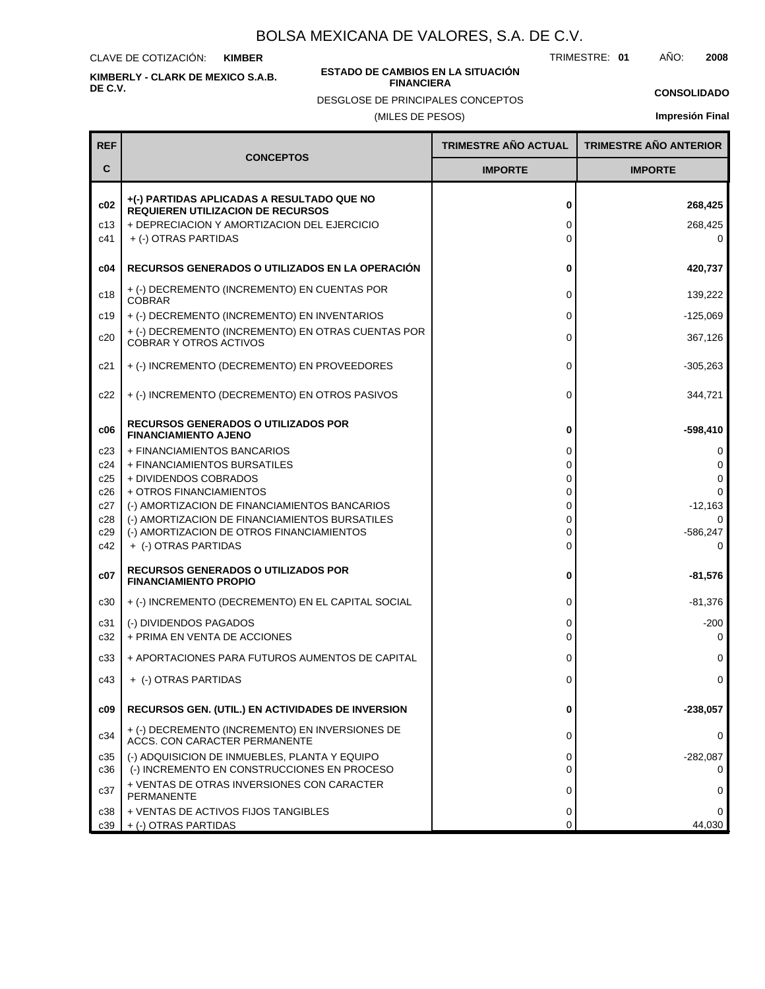CLAVE DE COTIZACIÓN: **KIMBER**

**KIMBERLY - CLARK DE MEXICO S.A.B. DE C.V.**

#### **ESTADO DE CAMBIOS EN LA SITUACIÓN FINANCIERA**

DESGLOSE DE PRINCIPALES CONCEPTOS

TRIMESTRE: **01** AÑO: **2008**

**CONSOLIDADO**

(MILES DE PESOS)

| <b>REF</b>        |                                                                                                                                                               | TRIMESTRE AÑO ACTUAL | <b>TRIMESTRE AÑO ANTERIOR</b> |
|-------------------|---------------------------------------------------------------------------------------------------------------------------------------------------------------|----------------------|-------------------------------|
| С                 | <b>CONCEPTOS</b>                                                                                                                                              | <b>IMPORTE</b>       | <b>IMPORTE</b>                |
| c02<br>c13<br>c41 | +(-) PARTIDAS APLICADAS A RESULTADO QUE NO<br><b>REQUIEREN UTILIZACION DE RECURSOS</b><br>+ DEPRECIACION Y AMORTIZACION DEL EJERCICIO<br>+ (-) OTRAS PARTIDAS | 0<br>0<br>0          | 268,425<br>268,425<br>0       |
| c04               | RECURSOS GENERADOS O UTILIZADOS EN LA OPERACIÓN                                                                                                               | 0                    | 420,737                       |
| c18               | + (-) DECREMENTO (INCREMENTO) EN CUENTAS POR<br><b>COBRAR</b>                                                                                                 | 0                    | 139,222                       |
| c19               | + (-) DECREMENTO (INCREMENTO) EN INVENTARIOS                                                                                                                  | 0                    | $-125,069$                    |
| c20               | + (-) DECREMENTO (INCREMENTO) EN OTRAS CUENTAS POR<br><b>COBRAR Y OTROS ACTIVOS</b>                                                                           | 0                    | 367,126                       |
| c21               | + (-) INCREMENTO (DECREMENTO) EN PROVEEDORES                                                                                                                  | 0                    | $-305,263$                    |
| c22               | + (-) INCREMENTO (DECREMENTO) EN OTROS PASIVOS                                                                                                                | 0                    | 344,721                       |
| c06               | <b>RECURSOS GENERADOS O UTILIZADOS POR</b><br><b>FINANCIAMIENTO AJENO</b>                                                                                     | 0                    | $-598,410$                    |
| c23               | + FINANCIAMIENTOS BANCARIOS                                                                                                                                   | 0                    | 0                             |
| c24<br>c25        | + FINANCIAMIENTOS BURSATILES<br>+ DIVIDENDOS COBRADOS                                                                                                         | 0<br>0               | 0<br>0                        |
| c26               | + OTROS FINANCIAMIENTOS                                                                                                                                       | 0                    | 0                             |
| c27               | (-) AMORTIZACION DE FINANCIAMIENTOS BANCARIOS<br>(-) AMORTIZACION DE FINANCIAMIENTOS BURSATILES                                                               | 0<br>0               | $-12,163$<br>0                |
| c28<br>c29        | (-) AMORTIZACION DE OTROS FINANCIAMIENTOS                                                                                                                     | $\Omega$             | $-586,247$                    |
| c42               | + (-) OTRAS PARTIDAS                                                                                                                                          | 0                    | 0                             |
| c07               | <b>RECURSOS GENERADOS O UTILIZADOS POR</b><br><b>FINANCIAMIENTO PROPIO</b>                                                                                    | 0                    | $-81,576$                     |
| c30               | + (-) INCREMENTO (DECREMENTO) EN EL CAPITAL SOCIAL                                                                                                            | 0                    | $-81,376$                     |
| c31               | (-) DIVIDENDOS PAGADOS                                                                                                                                        | 0                    | $-200$                        |
| c32               | + PRIMA EN VENTA DE ACCIONES                                                                                                                                  | 0                    | 0                             |
| c33               | + APORTACIONES PARA FUTUROS AUMENTOS DE CAPITAL                                                                                                               | 0                    | 0                             |
| c43               | + (-) OTRAS PARTIDAS                                                                                                                                          | 0                    | 0                             |
| c09               | RECURSOS GEN. (UTIL.) EN ACTIVIDADES DE INVERSION                                                                                                             | 0                    | $-238,057$                    |
| c34               | + (-) DECREMENTO (INCREMENTO) EN INVERSIONES DE<br>ACCS. CON CARACTER PERMANENTE                                                                              | 0                    | 0                             |
| c35<br>c36        | (-) ADQUISICION DE INMUEBLES, PLANTA Y EQUIPO<br>(-) INCREMENTO EN CONSTRUCCIONES EN PROCESO                                                                  | 0<br>0               | $-282,087$<br>0               |
| c37               | + VENTAS DE OTRAS INVERSIONES CON CARACTER<br>PERMANENTE                                                                                                      | 0                    | 0                             |
| c38               | + VENTAS DE ACTIVOS FIJOS TANGIBLES                                                                                                                           | 0                    | 0                             |
| c39               | + (-) OTRAS PARTIDAS                                                                                                                                          | 0                    | 44,030                        |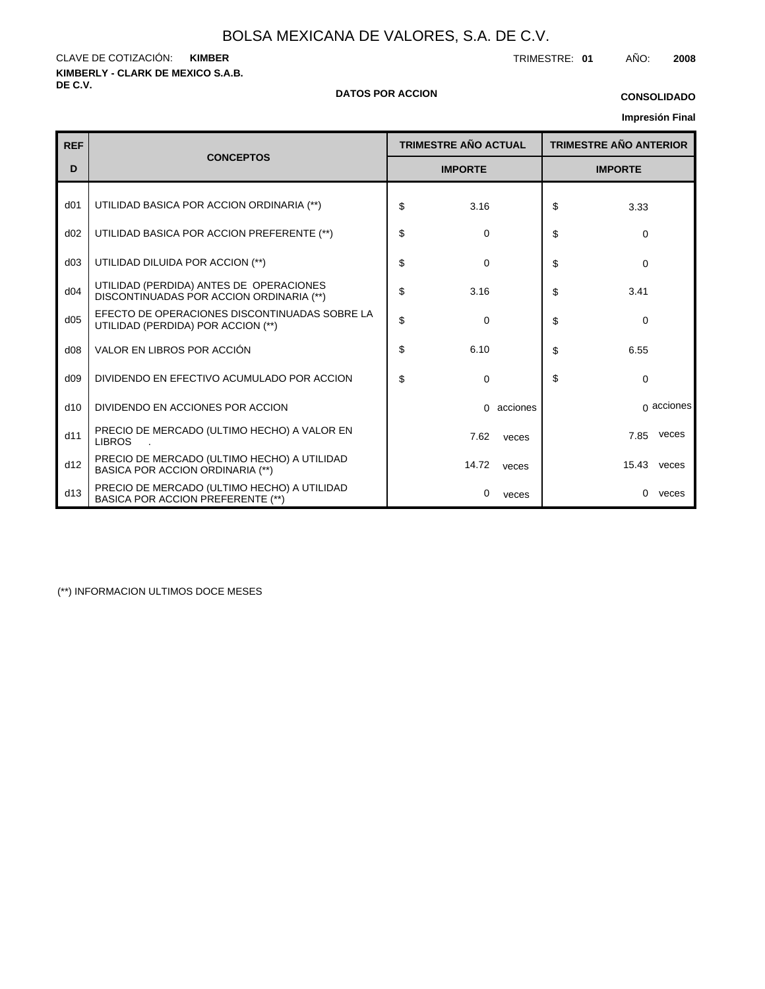**KIMBERLY - CLARK DE MEXICO S.A.B. DE C.V.** CLAVE DE COTIZACIÓN: TRIMESTRE: **01** AÑO: **2008 KIMBER**

#### **DATOS POR ACCION**

**Impresión Final CONSOLIDADO**

|                 |                                                                                        |    |                             |            |                |                               | <b>Impresion Final</b> |
|-----------------|----------------------------------------------------------------------------------------|----|-----------------------------|------------|----------------|-------------------------------|------------------------|
| <b>REF</b>      | <b>CONCEPTOS</b>                                                                       |    | <b>TRIMESTRE AÑO ACTUAL</b> |            |                | <b>TRIMESTRE AÑO ANTERIOR</b> |                        |
| D               |                                                                                        |    | <b>IMPORTE</b>              |            | <b>IMPORTE</b> |                               |                        |
| d <sub>01</sub> | UTILIDAD BASICA POR ACCION ORDINARIA (**)                                              | \$ | 3.16                        |            | \$             | 3.33                          |                        |
| d02             | UTILIDAD BASICA POR ACCION PREFERENTE (**)                                             | \$ | 0                           |            | \$             | $\Omega$                      |                        |
| d03             | UTILIDAD DILUIDA POR ACCION (**)                                                       | \$ | $\mathbf 0$                 |            | \$             | $\mathbf 0$                   |                        |
| d04             | UTILIDAD (PERDIDA) ANTES DE OPERACIONES<br>DISCONTINUADAS POR ACCION ORDINARIA (**)    | \$ | 3.16                        |            | \$             | 3.41                          |                        |
| d05             | EFECTO DE OPERACIONES DISCONTINUADAS SOBRE LA<br>UTILIDAD (PERDIDA) POR ACCION (**)    | \$ | $\mathbf 0$                 |            | \$             | 0                             |                        |
| d08             | VALOR EN LIBROS POR ACCIÓN                                                             | \$ | 6.10                        |            | \$             | 6.55                          |                        |
| d09             | DIVIDENDO EN EFECTIVO ACUMULADO POR ACCION                                             | \$ | 0                           |            | \$             | $\Omega$                      |                        |
| d10             | DIVIDENDO EN ACCIONES POR ACCION                                                       |    |                             | 0 acciones |                |                               | $\alpha$ acciones      |
| d11             | PRECIO DE MERCADO (ULTIMO HECHO) A VALOR EN<br><b>LIBROS</b>                           |    | 7.62                        | veces      |                | 7.85                          | veces                  |
| d12             | PRECIO DE MERCADO (ULTIMO HECHO) A UTILIDAD<br><b>BASICA POR ACCION ORDINARIA (**)</b> |    | 14.72                       | veces      |                | 15.43                         | veces                  |
| d13             | PRECIO DE MERCADO (ULTIMO HECHO) A UTILIDAD<br>BASICA POR ACCION PREFERENTE (**)       |    | 0                           | veces      |                | $\Omega$                      | veces                  |

(\*\*) INFORMACION ULTIMOS DOCE MESES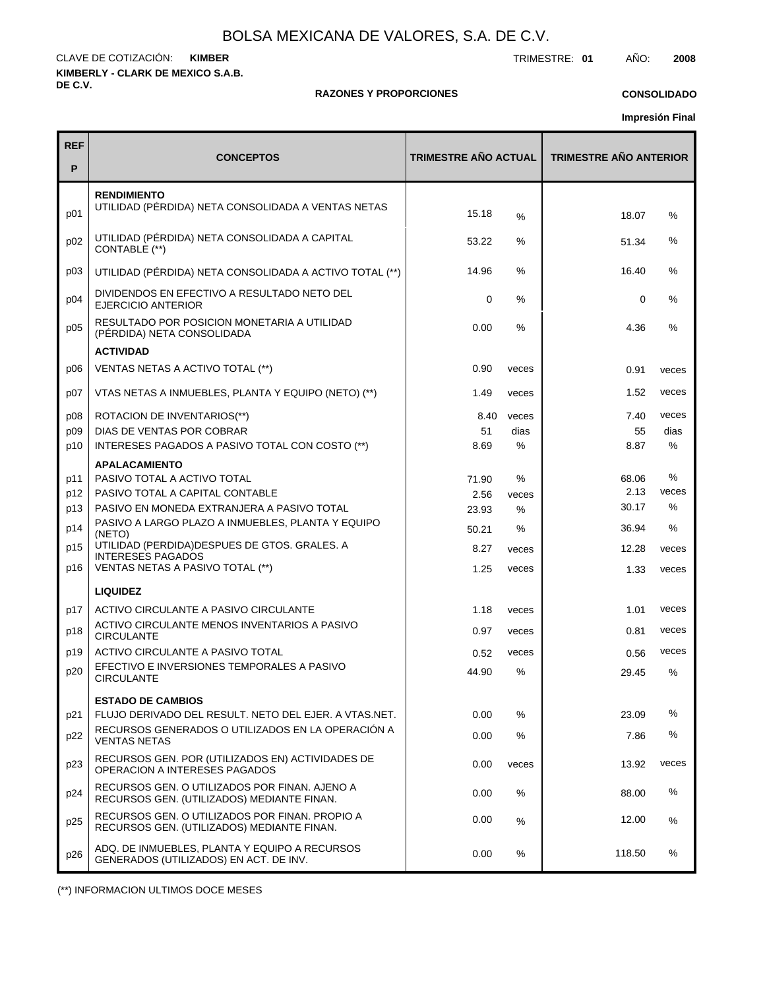**KIMBERLY - CLARK DE MEXICO S.A.B. DE C.V.** CLAVE DE COTIZACIÓN: TRIMESTRE: **01** AÑO: **2008 KIMBER**

#### **RAZONES Y PROPORCIONES**

#### **CONSOLIDADO**

**Impresión Final**

| <b>REF</b><br>P | <b>CONCEPTOS</b>                                                                             | <b>TRIMESTRE AÑO ACTUAL</b> |       | <b>TRIMESTRE AÑO ANTERIOR</b> |       |
|-----------------|----------------------------------------------------------------------------------------------|-----------------------------|-------|-------------------------------|-------|
| p01             | <b>RENDIMIENTO</b><br>UTILIDAD (PÉRDIDA) NETA CONSOLIDADA A VENTAS NETAS                     | 15.18                       | %     | 18.07                         | $\%$  |
| p02             | UTILIDAD (PÉRDIDA) NETA CONSOLIDADA A CAPITAL<br>CONTABLE (**)                               | 53.22                       | ℅     | 51.34                         | %     |
| p03             | UTILIDAD (PÉRDIDA) NETA CONSOLIDADA A ACTIVO TOTAL (**)                                      | 14.96                       | ℅     | 16.40                         | $\%$  |
| p04             | DIVIDENDOS EN EFECTIVO A RESULTADO NETO DEL<br>EJERCICIO ANTERIOR                            | 0                           | %     | 0                             | $\%$  |
| p05             | RESULTADO POR POSICION MONETARIA A UTILIDAD<br>(PÉRDIDA) NETA CONSOLIDADA                    | 0.00                        | %     | 4.36                          | %     |
|                 | <b>ACTIVIDAD</b>                                                                             |                             |       |                               |       |
| p06             | VENTAS NETAS A ACTIVO TOTAL (**)                                                             | 0.90                        | veces | 0.91                          | veces |
| p07             | VTAS NETAS A INMUEBLES, PLANTA Y EQUIPO (NETO) (**)                                          | 1.49                        | veces | 1.52                          | veces |
| p08             | ROTACION DE INVENTARIOS(**)                                                                  | 8.40                        | veces | 7.40                          | veces |
| p09             | DIAS DE VENTAS POR COBRAR                                                                    | 51                          | dias  | 55                            | dias  |
| p10             | INTERESES PAGADOS A PASIVO TOTAL CON COSTO (**)                                              | 8.69                        | %     | 8.87                          | %     |
|                 | <b>APALACAMIENTO</b>                                                                         |                             |       |                               |       |
| p11             | PASIVO TOTAL A ACTIVO TOTAL                                                                  | 71.90                       | %     | 68.06                         | $\%$  |
| p12             | PASIVO TOTAL A CAPITAL CONTABLE                                                              | 2.56                        | veces | 2.13                          | veces |
| p13             | PASIVO EN MONEDA EXTRANJERA A PASIVO TOTAL                                                   | 23.93                       | %     | 30.17                         | $\%$  |
| p14             | PASIVO A LARGO PLAZO A INMUEBLES, PLANTA Y EQUIPO<br>(NETO)                                  | 50.21                       | %     | 36.94                         | %     |
| p15             | UTILIDAD (PERDIDA) DESPUES DE GTOS. GRALES. A                                                | 8.27                        | veces | 12.28                         | veces |
| p16             | <b>INTERESES PAGADOS</b><br>VENTAS NETAS A PASIVO TOTAL (**)                                 | 1.25                        | veces | 1.33                          | veces |
|                 | <b>LIQUIDEZ</b>                                                                              |                             |       |                               |       |
| p17             | ACTIVO CIRCULANTE A PASIVO CIRCULANTE                                                        | 1.18                        | veces | 1.01                          | veces |
| p18             | ACTIVO CIRCULANTE MENOS INVENTARIOS A PASIVO<br><b>CIRCULANTE</b>                            | 0.97                        | veces | 0.81                          | veces |
| p19             | ACTIVO CIRCULANTE A PASIVO TOTAL                                                             | 0.52                        | veces | 0.56                          | veces |
| p20             | EFECTIVO E INVERSIONES TEMPORALES A PASIVO<br><b>CIRCULANTE</b>                              | 44.90                       | %     | 29.45                         | $\%$  |
|                 | <b>ESTADO DE CAMBIOS</b>                                                                     |                             |       |                               |       |
| p21             | FLUJO DERIVADO DEL RESULT. NETO DEL EJER. A VTAS.NET.                                        | 0.00                        | %     | 23.09                         | %     |
| p22             | RECURSOS GENERADOS O UTILIZADOS EN LA OPERACIÓN A<br><b>VENTAS NETAS</b>                     | 0.00                        | %     | 7.86                          | %     |
| p23             | RECURSOS GEN. POR (UTILIZADOS EN) ACTIVIDADES DE<br>OPERACION A INTERESES PAGADOS            | 0.00                        | veces | 13.92                         | veces |
| p24             | RECURSOS GEN. O UTILIZADOS POR FINAN. AJENO A<br>RECURSOS GEN. (UTILIZADOS) MEDIANTE FINAN.  | 0.00                        | %     | 88.00                         | ℅     |
| p25             | RECURSOS GEN. O UTILIZADOS POR FINAN. PROPIO A<br>RECURSOS GEN. (UTILIZADOS) MEDIANTE FINAN. | 0.00                        | $\%$  | 12.00                         | %     |
| p26             | ADQ. DE INMUEBLES, PLANTA Y EQUIPO A RECURSOS<br>GENERADOS (UTILIZADOS) EN ACT. DE INV.      | 0.00                        | ℅     | 118.50                        | %     |

(\*\*) INFORMACION ULTIMOS DOCE MESES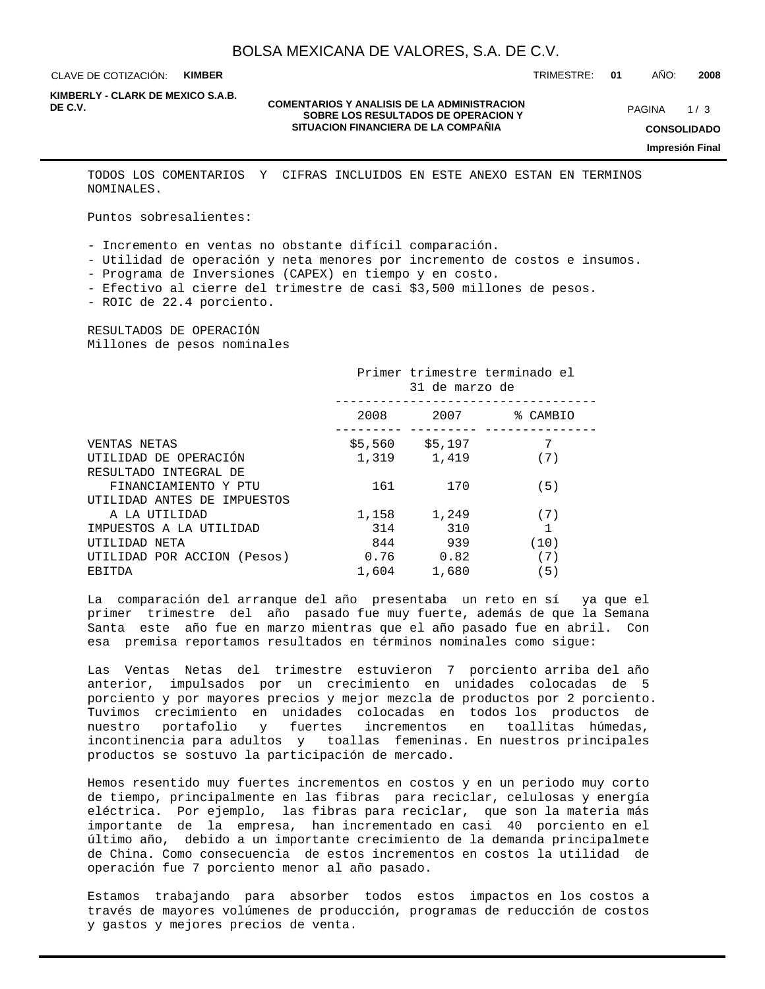CLAVE DE COTIZACIÓN: **KIMBER**

TRIMESTRE: **01** AÑO: **2008**

**KIMBERLY - CLARK DE MEXICO S.A.B.**

#### **COMENTARIOS Y ANALISIS DE LA ADMINISTRACION<br>
COMENTARIOS Y ANALISIS DE LA ADMINISTRACION MARIE DE CONTRACION DE CONTRACION DE CONTRACION DE CONTRACION DE CONTRACION DE CONTRACION DE CONTRACION DE CONTRACION DE CONTRACION SOBRE LOS RESULTADOS DE OPERACION Y SITUACION FINANCIERA DE LA COMPAÑIA**

 $1/3$ **CONSOLIDADO**

**Impresión Final**

TODOS LOS COMENTARIOS Y CIFRAS INCLUIDOS EN ESTE ANEXO ESTAN EN TERMINOS NOMINALES.

Puntos sobresalientes:

- Incremento en ventas no obstante difícil comparación.

- Utilidad de operación y neta menores por incremento de costos e insumos.

- Programa de Inversiones (CAPEX) en tiempo y en costo.

- Efectivo al cierre del trimestre de casi \$3,500 millones de pesos.

- ROIC de 22.4 porciento.

RESULTADOS DE OPERACIÓN Millones de pesos nominales

|                             |       | 31 de marzo de    | Primer trimestre terminado el |
|-----------------------------|-------|-------------------|-------------------------------|
|                             | 2008  | 2007              | % CAMBIO                      |
| VENTAS NETAS                |       | $$5,560$ $$5,197$ |                               |
| UTILIDAD DE OPERACIÓN       |       | 1,319 1,419       | (7)                           |
| RESULTADO INTEGRAL DE       |       |                   |                               |
| FINANCIAMIENTO Y PTU        | 161   | 170               | (5)                           |
| UTILIDAD ANTES DE IMPUESTOS |       |                   |                               |
| A LA UTILIDAD               | 1,158 | 1,249             | (7)                           |
| IMPUESTOS A LA UTILIDAD     | 314   | 310               |                               |
| UTILIDAD NETA               | 844   | 939               | (10)                          |
| UTILIDAD POR ACCION (Pesos) | 0.76  | 0.82              | (7)                           |
| EBITDA                      | 1,604 | 1,680             | (5)                           |

La comparación del arranque del año presentaba un reto en sí ya que el primer trimestre del año pasado fue muy fuerte, además de que la Semana Santa este año fue en marzo mientras que el año pasado fue en abril. Con esa premisa reportamos resultados en términos nominales como sigue:

Las Ventas Netas del trimestre estuvieron 7 porciento arriba del año anterior, impulsados por un crecimiento en unidades colocadas de 5 porciento y por mayores precios y mejor mezcla de productos por 2 porciento. Tuvimos crecimiento en unidades colocadas en todos los productos de nuestro portafolio y fuertes incrementos en toallitas húmedas, incontinencia para adultos y toallas femeninas. En nuestros principales productos se sostuvo la participación de mercado.

Hemos resentido muy fuertes incrementos en costos y en un periodo muy corto de tiempo, principalmente en las fibras para reciclar, celulosas y energía eléctrica. Por ejemplo, las fibras para reciclar, que son la materia más importante de la empresa, han incrementado en casi 40 porciento en el último año, debido a un importante crecimiento de la demanda principalmete de China. Como consecuencia de estos incrementos en costos la utilidad de operación fue 7 porciento menor al año pasado.

Estamos trabajando para absorber todos estos impactos en los costos a través de mayores volúmenes de producción, programas de reducción de costos y gastos y mejores precios de venta.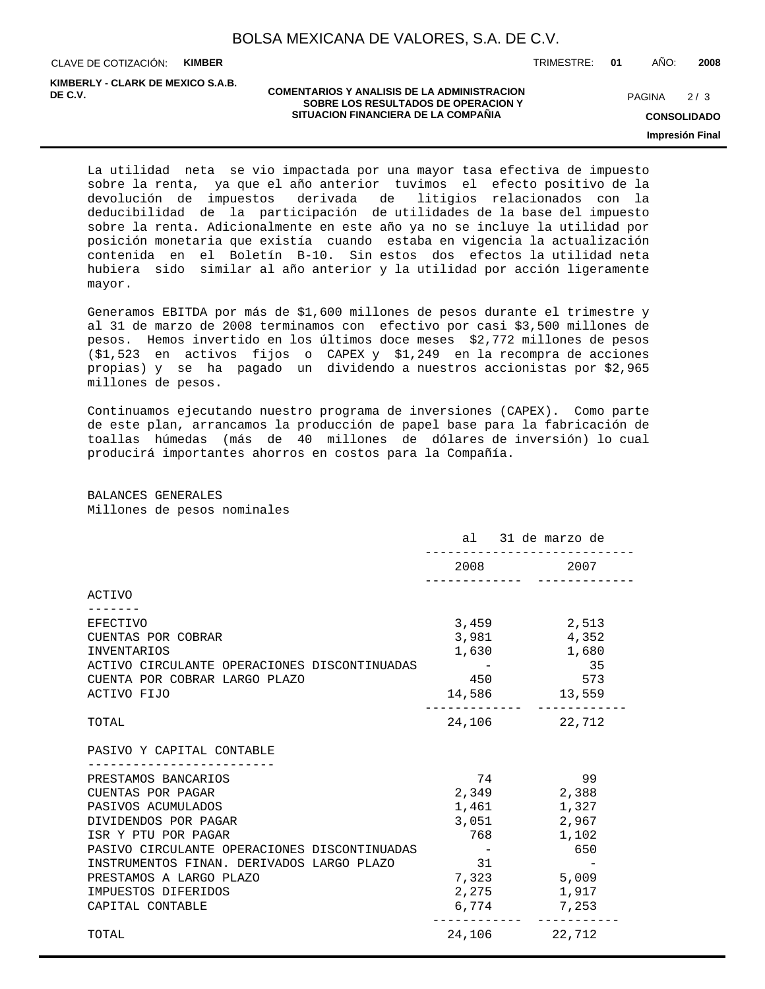CLAVE DE COTIZACIÓN: **KIMBER**

**KIMBERLY - CLARK DE MEXICO S.A.B.**

#### **COMENTARIOS Y ANALISIS DE LA ADMINISTRACION SOBRE LOS RESULTADOS DE OPERACION Y DE C.V.** PAGINA / 3 **SITUACION FINANCIERA DE LA COMPAÑIA**

TRIMESTRE: **01** AÑO: **2008**

 $2/3$ 

**CONSOLIDADO Impresión Final**

La utilidad neta se vio impactada por una mayor tasa efectiva de impuesto sobre la renta, ya que el año anterior tuvimos el efecto positivo de la devolución de impuestos derivada de litigios relacionados con la deducibilidad de la participación de utilidades de la base del impuesto sobre la renta. Adicionalmente en este año ya no se incluye la utilidad por posición monetaria que existía cuando estaba en vigencia la actualización contenida en el Boletín B-10. Sin estos dos efectos la utilidad neta hubiera sido similar al año anterior y la utilidad por acción ligeramente mayor.

Generamos EBITDA por más de \$1,600 millones de pesos durante el trimestre y al 31 de marzo de 2008 terminamos con efectivo por casi \$3,500 millones de pesos. Hemos invertido en los últimos doce meses \$2,772 millones de pesos (\$1,523 en activos fijos o CAPEX y \$1,249 en la recompra de acciones propias) y se ha pagado un dividendo a nuestros accionistas por \$2,965 millones de pesos.

Continuamos ejecutando nuestro programa de inversiones (CAPEX). Como parte de este plan, arrancamos la producción de papel base para la fabricación de toallas húmedas (más de 40 millones de dólares de inversión) lo cual producirá importantes ahorros en costos para la Compañía.

BALANCES GENERALES Millones de pesos nominales

|                                                                                                                                                                                                                                                                                  |                                                                                                                                                                                                                                 | al 31 de marzo de                                                                                |
|----------------------------------------------------------------------------------------------------------------------------------------------------------------------------------------------------------------------------------------------------------------------------------|---------------------------------------------------------------------------------------------------------------------------------------------------------------------------------------------------------------------------------|--------------------------------------------------------------------------------------------------|
|                                                                                                                                                                                                                                                                                  | 2008 — 2008 — 2008 — 2008 — 2008 — 2008 — 2008 — 2010 — 2010 — 2010 — 2020 — 2020 — 2020 — 2020 — 2020 — 2020 — 2020 — 2020 — 2020 — 2020 — 2020 — 2020 — 2020 — 2020 — 2020 — 2020 — 2020 — 2020 — 2020 — 2020 — 2020 — 2020 — | 2007                                                                                             |
| ACTIVO                                                                                                                                                                                                                                                                           |                                                                                                                                                                                                                                 |                                                                                                  |
| <b>EFECTIVO</b><br>CUENTAS POR COBRAR<br><b>INVENTARIOS</b><br>ACTIVO CIRCULANTE OPERACIONES DISCONTINUADAS<br>CUENTA POR COBRAR LARGO PLAZO<br>ACTIVO FIJO                                                                                                                      | 3,459<br>$\sim$ $ -$<br>450                                                                                                                                                                                                     | 2,513<br>3,981 4,352<br>1,630 1,680<br>35<br>573<br>14,586 13,559                                |
| TOTAL                                                                                                                                                                                                                                                                            |                                                                                                                                                                                                                                 | 24, 106 22, 712                                                                                  |
| PASIVO Y CAPITAL CONTABLE                                                                                                                                                                                                                                                        |                                                                                                                                                                                                                                 |                                                                                                  |
| PRESTAMOS BANCARIOS<br>CUENTAS POR PAGAR<br>PASIVOS ACUMULADOS<br>DIVIDENDOS POR PAGAR<br>ISR Y PTU POR PAGAR<br>PASIVO CIRCULANTE OPERACIONES DISCONTINUADAS<br>INSTRUMENTOS FINAN. DERIVADOS LARGO PLAZO<br>PRESTAMOS A LARGO PLAZO<br>IMPUESTOS DIFERIDOS<br>CAPITAL CONTABLE | 74<br>1,461<br>3,051<br>768<br>and the state of the state<br>31                                                                                                                                                                 | 99<br>2,349 2,388<br>1,327<br>2,967<br>1,102<br>650<br>7,323 5,009<br>2,275 1,917<br>6,774 7,253 |
| TOTAL                                                                                                                                                                                                                                                                            | 24,106 22,712                                                                                                                                                                                                                   |                                                                                                  |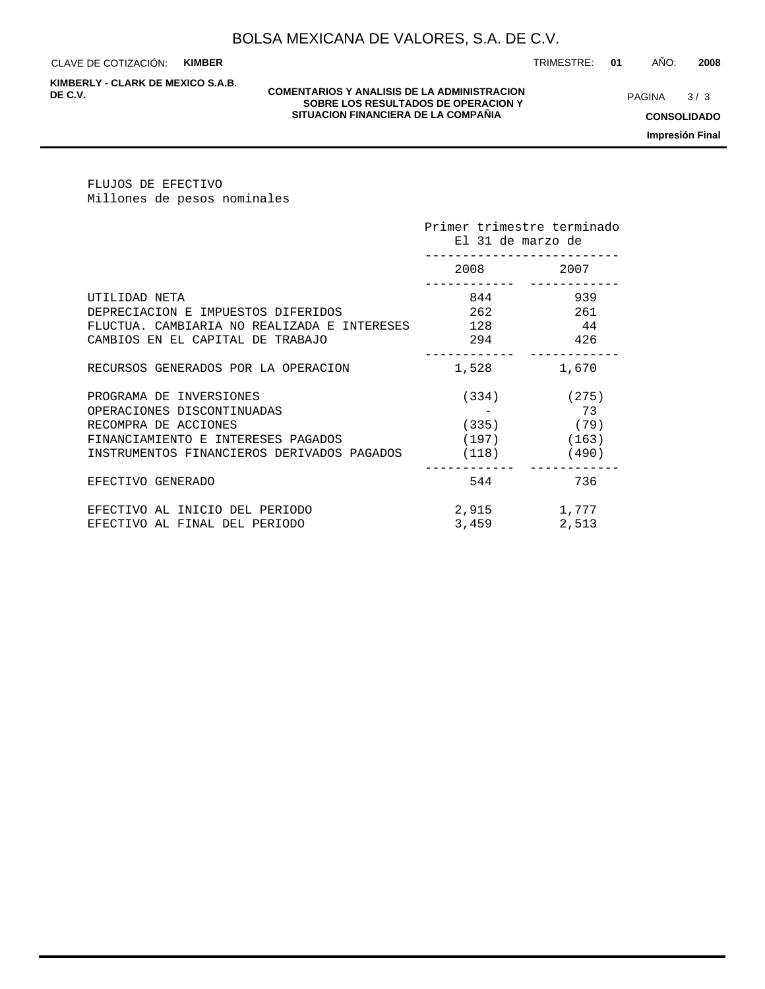CLAVE DE COTIZACIÓN: **KIMBER**

**KIMBERLY - CLARK DE MEXICO S.A.B.**

#### **COMENTARIOS Y ANALISIS DE LA ADMINISTRACION<br>
COMENTARIOS Y ANALISIS DE LA ADMINISTRACION MARIE DE PROGRETA ANALISIS DE CONTRACION MARIE DE PROGRETA DE PRO SOBRE LOS RESULTADOS DE OPERACION Y SITUACION FINANCIERA DE LA COMPAÑIA**

 $3/3$ 

TRIMESTRE: **01** AÑO: **2008**

**CONSOLIDADO**

**Impresión Final**

FLUJOS DE EFECTIVO Millones de pesos nominales

|                                             | Primer trimestre terminado<br>El 31 de marzo de |                 |
|---------------------------------------------|-------------------------------------------------|-----------------|
|                                             | 2008 700                                        | 2007            |
| UTILIDAD NETA                               |                                                 | 939             |
| DEPRECIACION E IMPUESTOS DIFERIDOS          | 262                                             | 261             |
| FLUCTUA. CAMBIARIA NO REALIZADA E INTERESES | 128                                             | 44              |
| CAMBIOS EN EL CAPITAL DE TRABAJO            | 294                                             | 426             |
| RECURSOS GENERADOS POR LA OPERACION         | 1,528                                           | 1,670           |
| PROGRAMA DE INVERSIONES                     |                                                 | $(334)$ $(275)$ |
| OPERACIONES DISCONTINUADAS                  |                                                 | 73              |
| RECOMPRA DE ACCIONES                        |                                                 | $(335)$ (79)    |
| FINANCIAMIENTO E INTERESES PAGADOS          | $(197)$ (163)                                   |                 |
| INSTRUMENTOS FINANCIEROS DERIVADOS PAGADOS  | $(118)$ (490)                                   |                 |
| EFECTIVO GENERADO                           | 544                                             | 736             |
| EFECTIVO AL INICIO DEL PERIODO              | 2,915                                           | 1,777           |
| EFECTIVO AL FINAL DEL PERIODO               | 3,459                                           | 2,513           |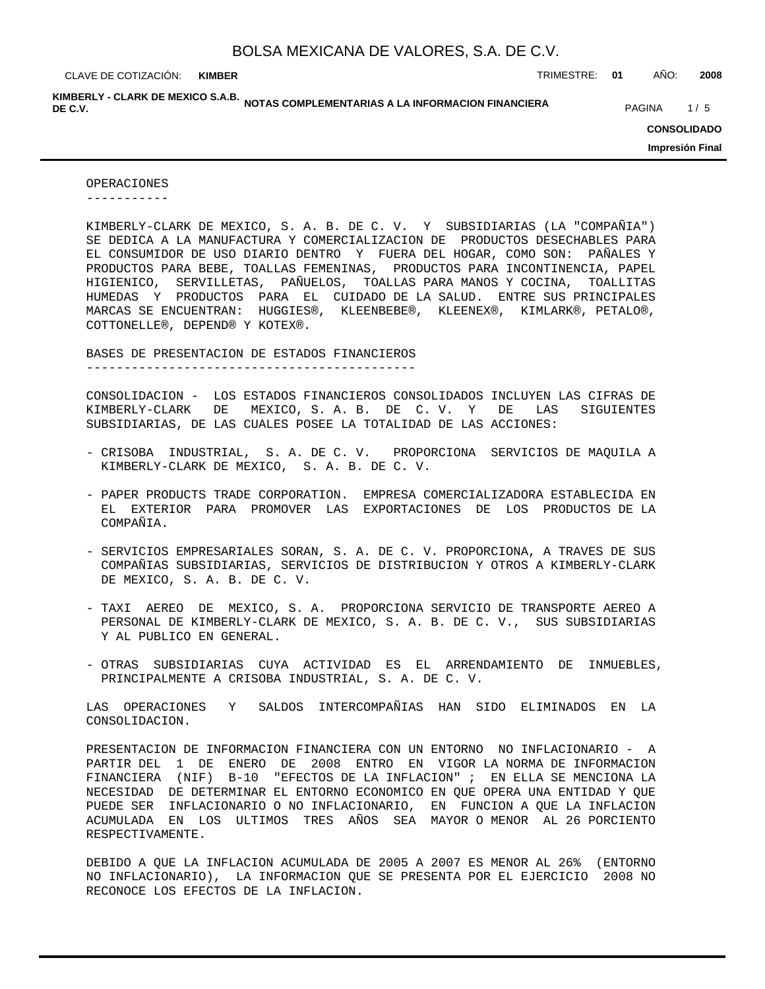**KIMBER**

CLAVE DE COTIZACIÓN: TRIMESTRE: **01** AÑO: **2008**

KIMBERLY - CLARK DE MEXICO S.A.B.<br>DE C.V. **DE C.V.** PAGINA 1/5

**CONSOLIDADO**

**Impresión Final**

OPERACIONES -----------

KIMBERLY-CLARK DE MEXICO, S. A. B. DE C. V. Y SUBSIDIARIAS (LA "COMPAÑIA") SE DEDICA A LA MANUFACTURA Y COMERCIALIZACION DE PRODUCTOS DESECHABLES PARA EL CONSUMIDOR DE USO DIARIO DENTRO Y FUERA DEL HOGAR, COMO SON: PAÑALES Y PRODUCTOS PARA BEBE, TOALLAS FEMENINAS, PRODUCTOS PARA INCONTINENCIA, PAPEL HIGIENICO, SERVILLETAS, PAÑUELOS, TOALLAS PARA MANOS Y COCINA, TOALLITAS HUMEDAS Y PRODUCTOS PARA EL CUIDADO DE LA SALUD. ENTRE SUS PRINCIPALES MARCAS SE ENCUENTRAN: HUGGIES®, KLEENBEBE®, KLEENEX®, KIMLARK®, PETALO®, COTTONELLE®, DEPEND® Y KOTEX®.

BASES DE PRESENTACION DE ESTADOS FINANCIEROS

--------------------------------------------

CONSOLIDACION - LOS ESTADOS FINANCIEROS CONSOLIDADOS INCLUYEN LAS CIFRAS DE KIMBERLY-CLARK DE MEXICO, S. A. B. DE C. V. Y DE LAS SIGUIENTES SUBSIDIARIAS, DE LAS CUALES POSEE LA TOTALIDAD DE LAS ACCIONES:

- CRISOBA INDUSTRIAL, S. A. DE C. V. PROPORCIONA SERVICIOS DE MAQUILA A KIMBERLY-CLARK DE MEXICO, S. A. B. DE C. V.
- PAPER PRODUCTS TRADE CORPORATION. EMPRESA COMERCIALIZADORA ESTABLECIDA EN EL EXTERIOR PARA PROMOVER LAS EXPORTACIONES DE LOS PRODUCTOS DE LA COMPAÑIA.
- SERVICIOS EMPRESARIALES SORAN, S. A. DE C. V. PROPORCIONA, A TRAVES DE SUS COMPAÑIAS SUBSIDIARIAS, SERVICIOS DE DISTRIBUCION Y OTROS A KIMBERLY-CLARK DE MEXICO, S. A. B. DE C. V.
- TAXI AEREO DE MEXICO, S. A. PROPORCIONA SERVICIO DE TRANSPORTE AEREO A PERSONAL DE KIMBERLY-CLARK DE MEXICO, S. A. B. DE C. V., SUS SUBSIDIARIAS Y AL PUBLICO EN GENERAL.
- OTRAS SUBSIDIARIAS CUYA ACTIVIDAD ES EL ARRENDAMIENTO DE INMUEBLES, PRINCIPALMENTE A CRISOBA INDUSTRIAL, S. A. DE C. V.

LAS OPERACIONES Y SALDOS INTERCOMPAÑIAS HAN SIDO ELIMINADOS EN LA CONSOLIDACION.

PRESENTACION DE INFORMACION FINANCIERA CON UN ENTORNO NO INFLACIONARIO - A PARTIR DEL 1 DE ENERO DE 2008 ENTRO EN VIGOR LA NORMA DE INFORMACION FINANCIERA (NIF) B-10 "EFECTOS DE LA INFLACION" ; EN ELLA SE MENCIONA LA NECESIDAD DE DETERMINAR EL ENTORNO ECONOMICO EN QUE OPERA UNA ENTIDAD Y QUE PUEDE SER INFLACIONARIO O NO INFLACIONARIO, EN FUNCION A QUE LA INFLACION ACUMULADA EN LOS ULTIMOS TRES AÑOS SEA MAYOR O MENOR AL 26 PORCIENTO RESPECTIVAMENTE.

DEBIDO A QUE LA INFLACION ACUMULADA DE 2005 A 2007 ES MENOR AL 26% (ENTORNO NO INFLACIONARIO), LA INFORMACION QUE SE PRESENTA POR EL EJERCICIO 2008 NO RECONOCE LOS EFECTOS DE LA INFLACION.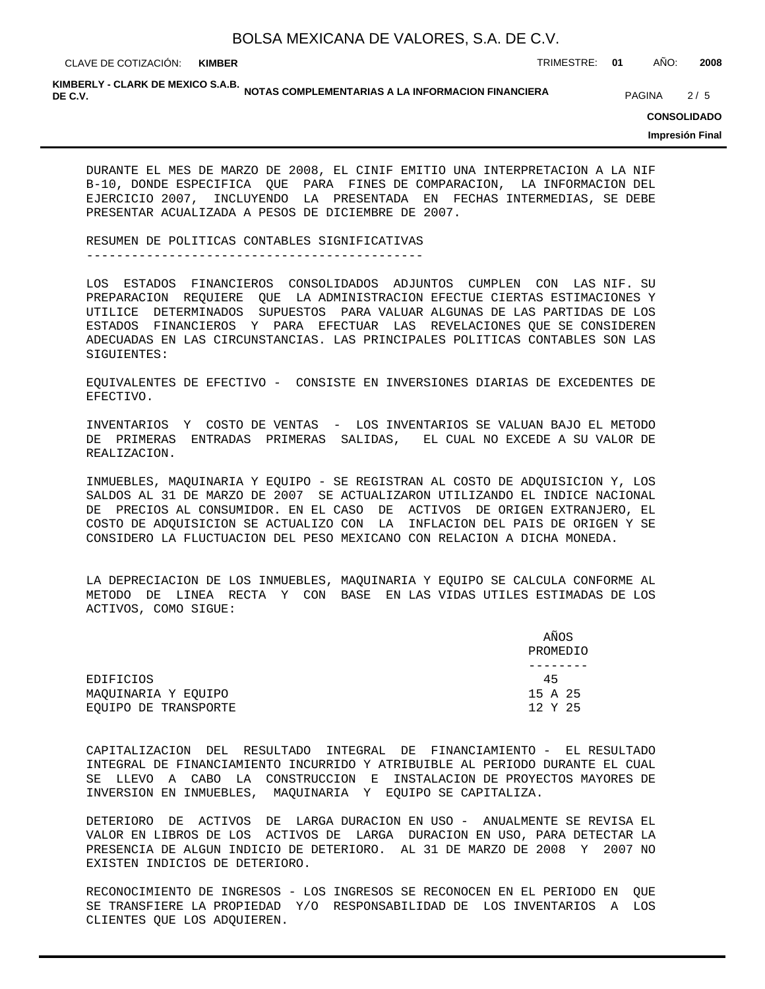CLAVE DE COTIZACIÓN: TRIMESTRE: **01** AÑO: **2008 KIMBER**

KIMBERLY - CLARK DE MEXICO S.A.B.<br>DE C.V. **DE C.V.** PAGINA 2/5

**CONSOLIDADO**

**Impresión Final**

DURANTE EL MES DE MARZO DE 2008, EL CINIF EMITIO UNA INTERPRETACION A LA NIF B-10, DONDE ESPECIFICA QUE PARA FINES DE COMPARACION, LA INFORMACION DEL EJERCICIO 2007, INCLUYENDO LA PRESENTADA EN FECHAS INTERMEDIAS, SE DEBE PRESENTAR ACUALIZADA A PESOS DE DICIEMBRE DE 2007.

RESUMEN DE POLITICAS CONTABLES SIGNIFICATIVAS ---------------------------------------------

LOS ESTADOS FINANCIEROS CONSOLIDADOS ADJUNTOS CUMPLEN CON LAS NIF. SU PREPARACION REQUIERE QUE LA ADMINISTRACION EFECTUE CIERTAS ESTIMACIONES Y UTILICE DETERMINADOS SUPUESTOS PARA VALUAR ALGUNAS DE LAS PARTIDAS DE LOS ESTADOS FINANCIEROS Y PARA EFECTUAR LAS REVELACIONES QUE SE CONSIDEREN ADECUADAS EN LAS CIRCUNSTANCIAS. LAS PRINCIPALES POLITICAS CONTABLES SON LAS SIGUIENTES:

EQUIVALENTES DE EFECTIVO - CONSISTE EN INVERSIONES DIARIAS DE EXCEDENTES DE EFECTIVO.

INVENTARIOS Y COSTO DE VENTAS - LOS INVENTARIOS SE VALUAN BAJO EL METODO DE PRIMERAS ENTRADAS PRIMERAS SALIDAS, EL CUAL NO EXCEDE A SU VALOR DE REALIZACION.

INMUEBLES, MAQUINARIA Y EQUIPO - SE REGISTRAN AL COSTO DE ADQUISICION Y, LOS SALDOS AL 31 DE MARZO DE 2007 SE ACTUALIZARON UTILIZANDO EL INDICE NACIONAL DE PRECIOS AL CONSUMIDOR. EN EL CASO DE ACTIVOS DE ORIGEN EXTRANJERO, EL COSTO DE ADQUISICION SE ACTUALIZO CON LA INFLACION DEL PAIS DE ORIGEN Y SE CONSIDERO LA FLUCTUACION DEL PESO MEXICANO CON RELACION A DICHA MONEDA.

LA DEPRECIACION DE LOS INMUEBLES, MAQUINARIA Y EQUIPO SE CALCULA CONFORME AL METODO DE LINEA RECTA Y CON BASE EN LAS VIDAS UTILES ESTIMADAS DE LOS ACTIVOS, COMO SIGUE:

|                      | AÑOS<br>PROMEDIO |
|----------------------|------------------|
|                      |                  |
| EDIFICIOS            | 45               |
| MAOUINARIA Y EOUIPO  | 15 A 25          |
| EOUIPO DE TRANSPORTE | 12 Y 25          |

CAPITALIZACION DEL RESULTADO INTEGRAL DE FINANCIAMIENTO - EL RESULTADO INTEGRAL DE FINANCIAMIENTO INCURRIDO Y ATRIBUIBLE AL PERIODO DURANTE EL CUAL SE LLEVO A CABO LA CONSTRUCCION E INSTALACION DE PROYECTOS MAYORES DE INVERSION EN INMUEBLES, MAQUINARIA Y EQUIPO SE CAPITALIZA.

DETERIORO DE ACTIVOS DE LARGA DURACION EN USO - ANUALMENTE SE REVISA EL VALOR EN LIBROS DE LOS ACTIVOS DE LARGA DURACION EN USO, PARA DETECTAR LA PRESENCIA DE ALGUN INDICIO DE DETERIORO. AL 31 DE MARZO DE 2008 Y 2007 NO EXISTEN INDICIOS DE DETERIORO.

RECONOCIMIENTO DE INGRESOS - LOS INGRESOS SE RECONOCEN EN EL PERIODO EN QUE SE TRANSFIERE LA PROPIEDAD Y/O RESPONSABILIDAD DE LOS INVENTARIOS A LOS CLIENTES QUE LOS ADQUIEREN.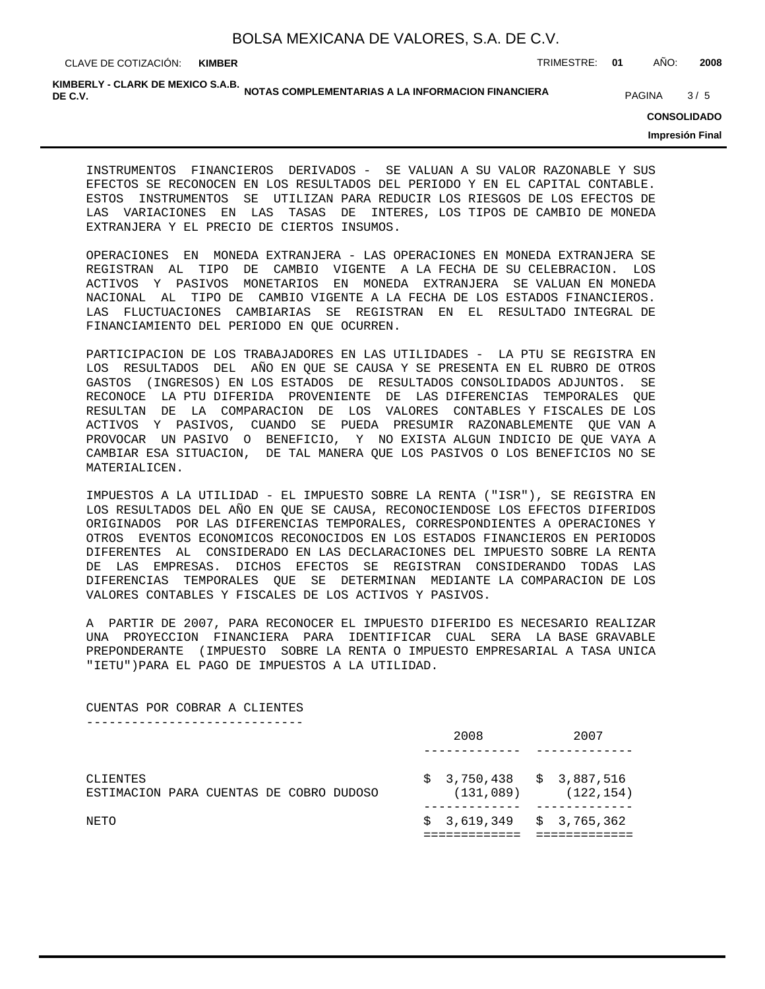CLAVE DE COTIZACIÓN: TRIMESTRE: **01** AÑO: **2008 KIMBER**

KIMBERLY - CLARK DE MEXICO S.A.B.<br>DE C.V. **DE C.V.** PAGINA 3/5

**CONSOLIDADO**

**Impresión Final**

INSTRUMENTOS FINANCIEROS DERIVADOS - SE VALUAN A SU VALOR RAZONABLE Y SUS EFECTOS SE RECONOCEN EN LOS RESULTADOS DEL PERIODO Y EN EL CAPITAL CONTABLE. ESTOS INSTRUMENTOS SE UTILIZAN PARA REDUCIR LOS RIESGOS DE LOS EFECTOS DE LAS VARIACIONES EN LAS TASAS DE INTERES, LOS TIPOS DE CAMBIO DE MONEDA EXTRANJERA Y EL PRECIO DE CIERTOS INSUMOS.

OPERACIONES EN MONEDA EXTRANJERA - LAS OPERACIONES EN MONEDA EXTRANJERA SE REGISTRAN AL TIPO DE CAMBIO VIGENTE A LA FECHA DE SU CELEBRACION. LOS ACTIVOS Y PASIVOS MONETARIOS EN MONEDA EXTRANJERA SE VALUAN EN MONEDA NACIONAL AL TIPO DE CAMBIO VIGENTE A LA FECHA DE LOS ESTADOS FINANCIEROS. LAS FLUCTUACIONES CAMBIARIAS SE REGISTRAN EN EL RESULTADO INTEGRAL DE FINANCIAMIENTO DEL PERIODO EN QUE OCURREN.

PARTICIPACION DE LOS TRABAJADORES EN LAS UTILIDADES - LA PTU SE REGISTRA EN LOS RESULTADOS DEL AÑO EN QUE SE CAUSA Y SE PRESENTA EN EL RUBRO DE OTROS GASTOS (INGRESOS) EN LOS ESTADOS DE RESULTADOS CONSOLIDADOS ADJUNTOS. SE RECONOCE LA PTU DIFERIDA PROVENIENTE DE LAS DIFERENCIAS TEMPORALES QUE RESULTAN DE LA COMPARACION DE LOS VALORES CONTABLES Y FISCALES DE LOS ACTIVOS Y PASIVOS, CUANDO SE PUEDA PRESUMIR RAZONABLEMENTE QUE VAN A PROVOCAR UN PASIVO O BENEFICIO, Y NO EXISTA ALGUN INDICIO DE QUE VAYA A CAMBIAR ESA SITUACION, DE TAL MANERA QUE LOS PASIVOS O LOS BENEFICIOS NO SE MATERIALICEN.

IMPUESTOS A LA UTILIDAD - EL IMPUESTO SOBRE LA RENTA ("ISR"), SE REGISTRA EN LOS RESULTADOS DEL AÑO EN QUE SE CAUSA, RECONOCIENDOSE LOS EFECTOS DIFERIDOS ORIGINADOS POR LAS DIFERENCIAS TEMPORALES, CORRESPONDIENTES A OPERACIONES Y OTROS EVENTOS ECONOMICOS RECONOCIDOS EN LOS ESTADOS FINANCIEROS EN PERIODOS DIFERENTES AL CONSIDERADO EN LAS DECLARACIONES DEL IMPUESTO SOBRE LA RENTA DE LAS EMPRESAS. DICHOS EFECTOS SE REGISTRAN CONSIDERANDO TODAS LAS DIFERENCIAS TEMPORALES QUE SE DETERMINAN MEDIANTE LA COMPARACION DE LOS VALORES CONTABLES Y FISCALES DE LOS ACTIVOS Y PASIVOS.

A PARTIR DE 2007, PARA RECONOCER EL IMPUESTO DIFERIDO ES NECESARIO REALIZAR UNA PROYECCION FINANCIERA PARA IDENTIFICAR CUAL SERA LA BASE GRAVABLE PREPONDERANTE (IMPUESTO SOBRE LA RENTA O IMPUESTO EMPRESARIAL A TASA UNICA "IETU")PARA EL PAGO DE IMPUESTOS A LA UTILIDAD.

CUENTAS POR COBRAR A CLIENTES -----------------------------

| NETO                                                |  |  |  | $$3,619,349 \t $3,765,362$ |                           |
|-----------------------------------------------------|--|--|--|----------------------------|---------------------------|
| CLIENTES<br>ESTIMACION PARA CUENTAS DE COBRO DUDOSO |  |  |  | $$3,750,438 \t $3,887,516$ | $(131, 089)$ $(122, 154)$ |
|                                                     |  |  |  | 2008                       | 2007                      |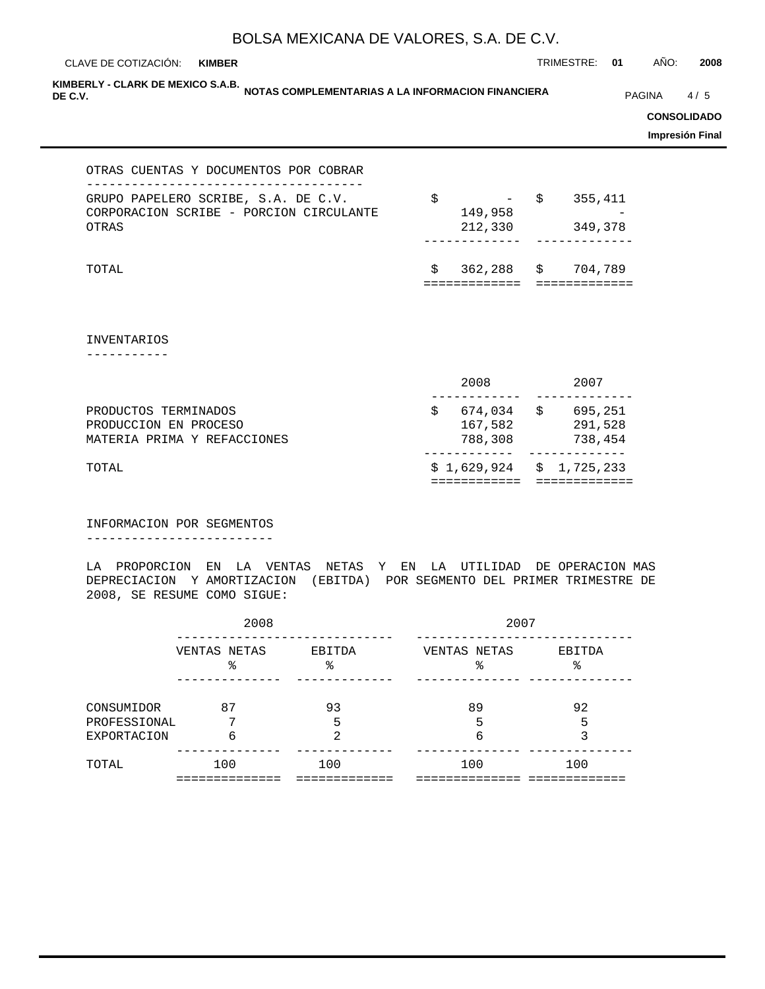CLAVE DE COTIZACIÓN: TRIMESTRE: **01** AÑO: **2008 KIMBER**

KIMBERLY - CLARK DE MEXICO S.A.B.<br>DE C.V. **DE C.V.** PAGINA 64/5

**CONSOLIDADO**

**Impresión Final**

#### OTRAS CUENTAS Y DOCUMENTOS POR COBRAR

| GRUPO PAPELERO SCRIBE, S.A. DE C.V.     | S. | $- S$      | 355,411 |
|-----------------------------------------|----|------------|---------|
| CORPORACION SCRIBE - PORCION CIRCULANTE |    | 149,958    |         |
| OTRAS                                   |    | 212,330    | 349,378 |
|                                         |    |            |         |
|                                         |    |            |         |
| TOTAL                                   | S. | 362,288 \$ | 704,789 |
|                                         |    |            |         |

INVENTARIOS

-----------

|                                                                              | 2008                          |   | 2007                          |
|------------------------------------------------------------------------------|-------------------------------|---|-------------------------------|
| PRODUCTOS TERMINADOS<br>PRODUCCION EN PROCESO<br>MATERIA PRIMA Y REFACCIONES | 674,034<br>167,582<br>788,308 | S | 695,251<br>291,528<br>738,454 |
| TOTAL                                                                        | $$1,629,924 \t$1,725,233$     |   |                               |

INFORMACION POR SEGMENTOS -------------------------

LA PROPORCION EN LA VENTAS NETAS Y EN LA UTILIDAD DE OPERACION MAS DEPRECIACION Y AMORTIZACION (EBITDA) POR SEGMENTO DEL PRIMER TRIMESTRE DE 2008, SE RESUME COMO SIGUE:

|                                                  | 2008                |               | 2007              |             |  |  |  |
|--------------------------------------------------|---------------------|---------------|-------------------|-------------|--|--|--|
|                                                  | VENTAS NETAS<br>क्ष | EBITDA<br>क्ष | VENTAS NETAS<br>ž | EBITDA<br>° |  |  |  |
| CONSUMIDOR<br>PROFESSIONAL<br><b>EXPORTACION</b> | 87<br>7<br>6        | 93<br>5<br>2  | 89<br>5<br>6      | 92<br>5     |  |  |  |
| TOTAL                                            | 100                 | 100           | 100               | 100         |  |  |  |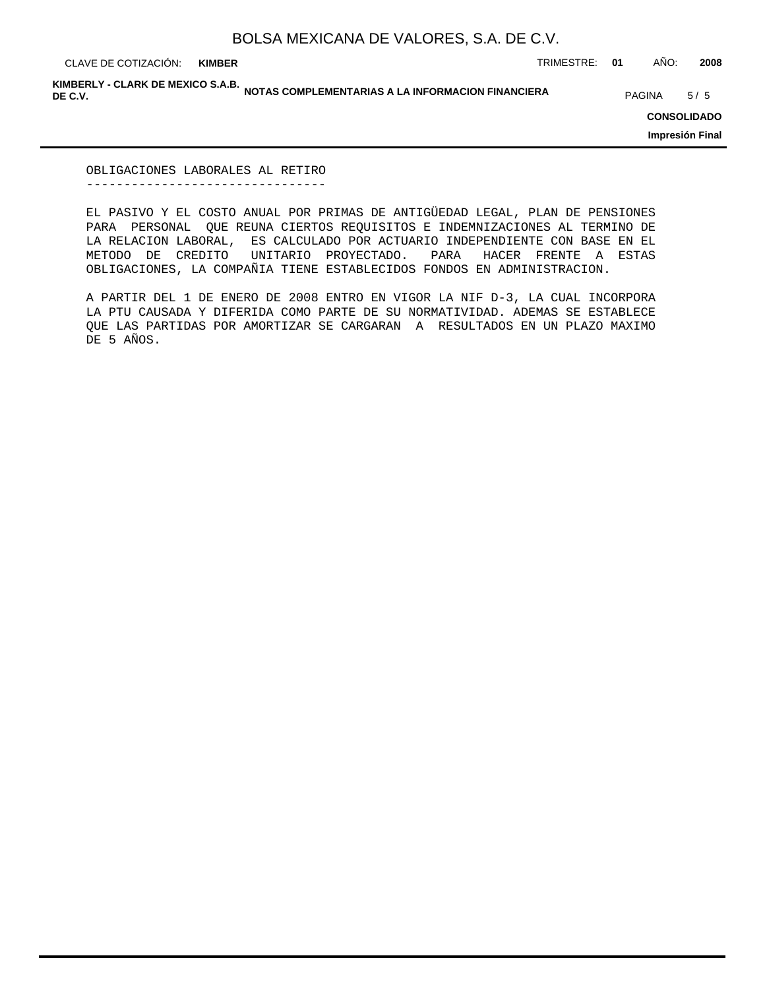**KIMBER**

CLAVE DE COTIZACIÓN: TRIMESTRE: **01** AÑO: **2008**

KIMBERLY - CLARK DE MEXICO S.A.B.<br>DE C.V. **DE C.V.** PAGINA 5/5 5/5

**CONSOLIDADO**

**Impresión Final**

OBLIGACIONES LABORALES AL RETIRO --------------------------------

EL PASIVO Y EL COSTO ANUAL POR PRIMAS DE ANTIGÜEDAD LEGAL, PLAN DE PENSIONES PARA PERSONAL QUE REUNA CIERTOS REQUISITOS E INDEMNIZACIONES AL TERMINO DE LA RELACION LABORAL, ES CALCULADO POR ACTUARIO INDEPENDIENTE CON BASE EN EL METODO DE CREDITO UNITARIO PROYECTADO. PARA HACER FRENTE A ESTAS OBLIGACIONES, LA COMPAÑIA TIENE ESTABLECIDOS FONDOS EN ADMINISTRACION.

A PARTIR DEL 1 DE ENERO DE 2008 ENTRO EN VIGOR LA NIF D-3, LA CUAL INCORPORA LA PTU CAUSADA Y DIFERIDA COMO PARTE DE SU NORMATIVIDAD. ADEMAS SE ESTABLECE QUE LAS PARTIDAS POR AMORTIZAR SE CARGARAN A RESULTADOS EN UN PLAZO MAXIMO DE 5 AÑOS.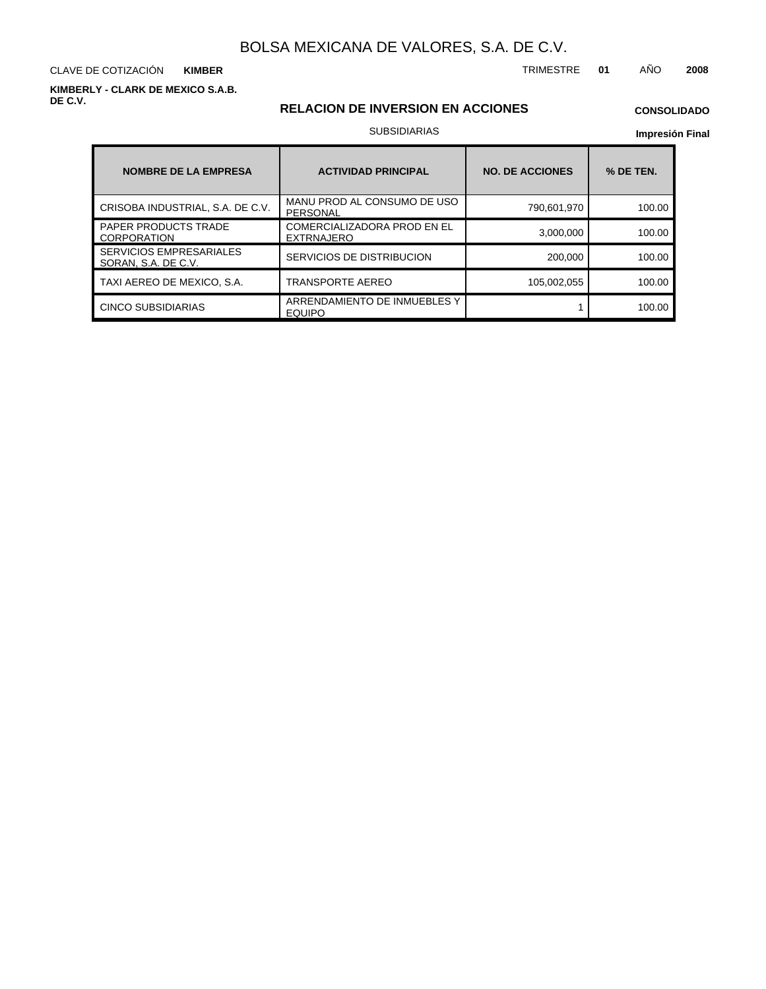CLAVE DE COTIZACIÓN TRIMESTRE **01** AÑO **2008 KIMBER**

**KIMBERLY - CLARK DE MEXICO S.A.B. DE C.V.**

#### **RELACION DE INVERSION EN ACCIONES**

## **CONSOLIDADO**

#### SUBSIDIARIAS

| <b>NOMBRE DE LA EMPRESA</b>                           | <b>ACTIVIDAD PRINCIPAL</b>                              | <b>NO. DE ACCIONES</b> | % DE TEN. |
|-------------------------------------------------------|---------------------------------------------------------|------------------------|-----------|
| CRISOBA INDUSTRIAL, S.A. DE C.V.                      | MANU PROD AL CONSUMO DE USO<br>PERSONAL                 | 790.601.970            | 100.00    |
| <b>PAPER PRODUCTS TRADE</b><br><b>CORPORATION</b>     | <b>COMERCIALIZADORA PROD EN EL</b><br><b>EXTRNAJERO</b> | 3,000,000              | 100.00    |
| <b>SERVICIOS EMPRESARIALES</b><br>SORAN, S.A. DE C.V. | SERVICIOS DE DISTRIBUCION                               | 200,000                | 100.00    |
| TAXI AEREO DE MEXICO, S.A.                            | TRANSPORTE AEREO                                        | 105,002,055            | 100.00    |
| <b>CINCO SUBSIDIARIAS</b>                             | ARRENDAMIENTO DE INMUEBLES Y<br><b>EQUIPO</b>           |                        | 100.00    |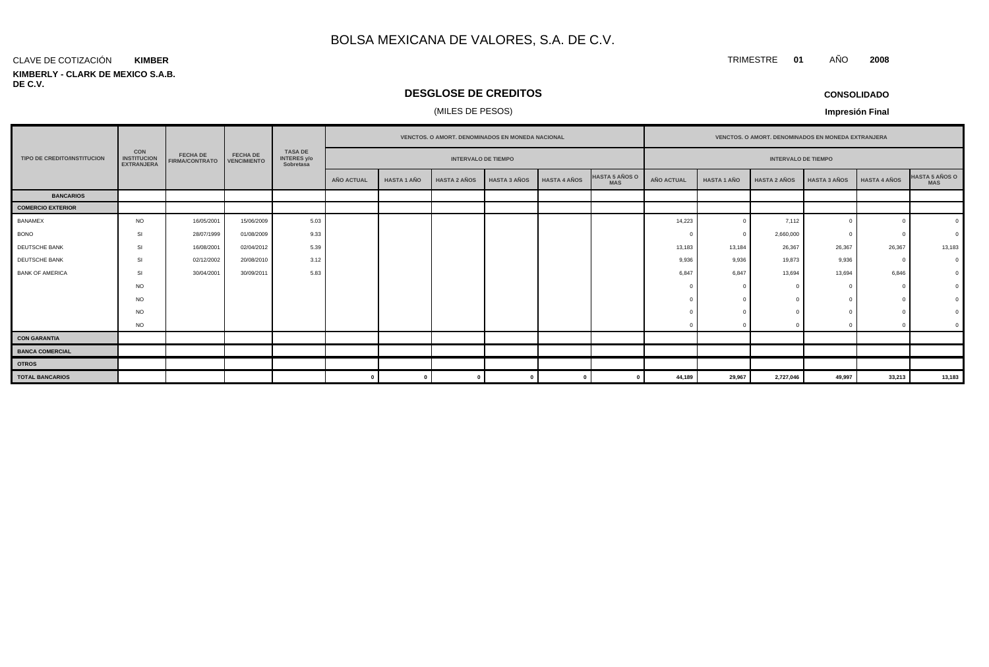#### CLAVE DE COTIZACIÓN **KIMBER**

#### **KIMBERLY - CLARK DE MEXICO S.A.B. DE C.V.**

### **DESGLOSE DE CREDITOS**

### (MILES DE PESOS)

**CONSOLIDADO**

**Impresión Final**

|                                    |                                                       |                                          |                                       |                                                   |                            |                    | VENCTOS. O AMORT. DENOMINADOS EN MONEDA NACIONAL |                     |                     |                                     | VENCTOS. O AMORT. DENOMINADOS EN MONEDA EXTRANJERA |                            |                     |                     |                     |                                     |
|------------------------------------|-------------------------------------------------------|------------------------------------------|---------------------------------------|---------------------------------------------------|----------------------------|--------------------|--------------------------------------------------|---------------------|---------------------|-------------------------------------|----------------------------------------------------|----------------------------|---------------------|---------------------|---------------------|-------------------------------------|
| <b>TIPO DE CREDITO/INSTITUCION</b> | <b>CON</b><br><b>INSTITUCION</b><br><b>EXTRANJERA</b> | <b>FECHA DE</b><br><b>FIRMA/CONTRATO</b> | <b>FECHA DE</b><br><b>VENCIMIENTO</b> | <b>TASA DE</b><br><b>INTERES y/o</b><br>Sobretasa | <b>INTERVALO DE TIEMPO</b> |                    |                                                  |                     |                     |                                     |                                                    | <b>INTERVALO DE TIEMPO</b> |                     |                     |                     |                                     |
|                                    |                                                       |                                          |                                       |                                                   | AÑO ACTUAL                 | <b>HASTA 1 AÑO</b> | <b>HASTA 2 AÑOS</b>                              | <b>HASTA 3 AÑOS</b> | <b>HASTA 4 AÑOS</b> | <b>HASTA 5 AÑOS O</b><br><b>MAS</b> | <b>AÑO ACTUAL</b>                                  | <b>HASTA 1 AÑO</b>         | <b>HASTA 2 AÑOS</b> | <b>HASTA 3 AÑOS</b> | <b>HASTA 4 AÑOS</b> | <b>HASTA 5 AÑOS O</b><br><b>MAS</b> |
| <b>BANCARIOS</b>                   |                                                       |                                          |                                       |                                                   |                            |                    |                                                  |                     |                     |                                     |                                                    |                            |                     |                     |                     |                                     |
| <b>COMERCIO EXTERIOR</b>           |                                                       |                                          |                                       |                                                   |                            |                    |                                                  |                     |                     |                                     |                                                    |                            |                     |                     |                     |                                     |
| <b>BANAMEX</b>                     | <b>NO</b>                                             | 16/05/2001                               | 15/06/2009                            | 5.03                                              |                            |                    |                                                  |                     |                     |                                     | 14,223                                             |                            | 7,112               |                     |                     | $\Omega$                            |
| <b>BONO</b>                        | SI                                                    | 28/07/1999                               | 01/08/2009                            | 9.33                                              |                            |                    |                                                  |                     |                     |                                     |                                                    |                            | 2,660,000           |                     |                     |                                     |
| DEUTSCHE BANK                      | SI                                                    | 16/08/2001                               | 02/04/2012                            | 5.39                                              |                            |                    |                                                  |                     |                     |                                     | 13,183                                             | 13,184                     | 26,367              | 26,367              | 26,367              | 13,183                              |
| DEUTSCHE BANK                      | SI                                                    | 02/12/2002                               | 20/08/2010                            | 3.12                                              |                            |                    |                                                  |                     |                     |                                     | 9,936                                              | 9,936                      | 19,873              | 9,936               |                     |                                     |
| <b>BANK OF AMERICA</b>             | SI                                                    | 30/04/2001                               | 30/09/2011                            | 5.83                                              |                            |                    |                                                  |                     |                     |                                     | 6,847                                              | 6,847                      | 13,694              | 13,694              | 6,846               | $\Omega$                            |
|                                    | <b>NO</b>                                             |                                          |                                       |                                                   |                            |                    |                                                  |                     |                     |                                     |                                                    |                            |                     |                     |                     |                                     |
|                                    | <b>NO</b>                                             |                                          |                                       |                                                   |                            |                    |                                                  |                     |                     |                                     |                                                    |                            |                     |                     |                     |                                     |
|                                    | <b>NO</b>                                             |                                          |                                       |                                                   |                            |                    |                                                  |                     |                     |                                     |                                                    |                            |                     |                     |                     |                                     |
|                                    | <b>NO</b>                                             |                                          |                                       |                                                   |                            |                    |                                                  |                     |                     |                                     |                                                    |                            |                     |                     |                     |                                     |
| <b>CON GARANTIA</b>                |                                                       |                                          |                                       |                                                   |                            |                    |                                                  |                     |                     |                                     |                                                    |                            |                     |                     |                     |                                     |
| <b>BANCA COMERCIAL</b>             |                                                       |                                          |                                       |                                                   |                            |                    |                                                  |                     |                     |                                     |                                                    |                            |                     |                     |                     |                                     |
| <b>OTROS</b>                       |                                                       |                                          |                                       |                                                   |                            |                    |                                                  |                     |                     |                                     |                                                    |                            |                     |                     |                     |                                     |
| <b>TOTAL BANCARIOS</b>             |                                                       |                                          |                                       |                                                   |                            | $\mathbf{0}$       |                                                  |                     |                     |                                     | 44,189                                             | 29,967                     | 2,727,046           | 49,997              | 33,213              | 13,183                              |

TRIMESTRE **01** AÑO **2008**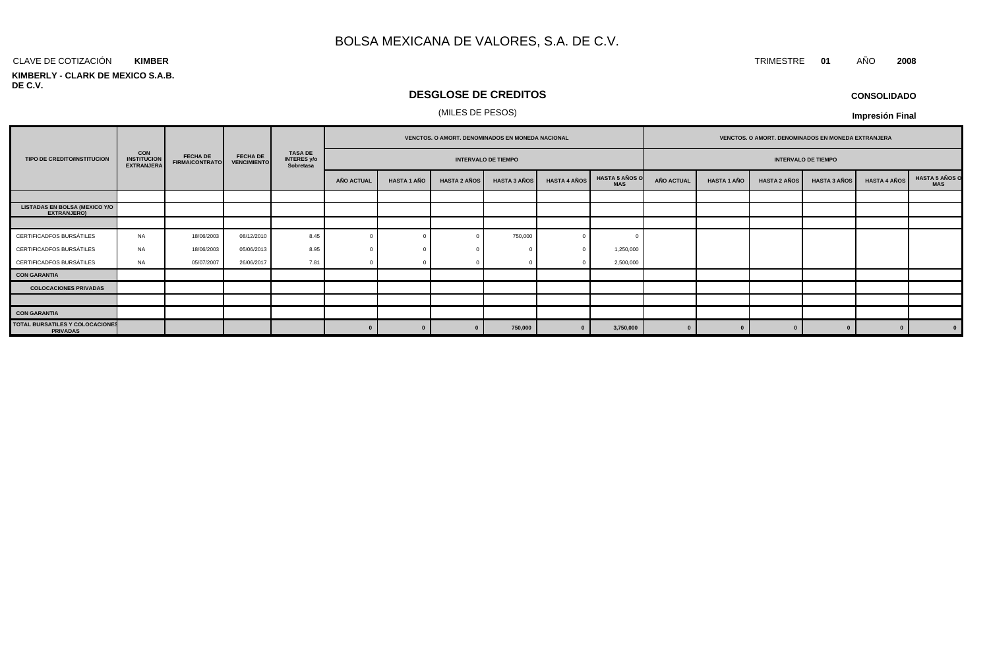#### CLAVE DE COTIZACIÓN TRIMESTRE **01** AÑO **2008 KIMBER**

#### **KIMBERLY - CLARK DE MEXICO S.A.B. DE C.V.**

### **DESGLOSE DE CREDITOS**

#### (MILES DE PESOS)

| <b>CONSOLIDADO</b> |
|--------------------|
|--------------------|

|                                                           |                                                |                                          |                                       |                                                   |                   |                            |                     | VENCTOS. O AMORT. DENOMINADOS EN MONEDA NACIONAL |                     |                                     | VENCTOS. O AMORT. DENOMINADOS EN MONEDA EXTRANJERA |                            |                     |                     |                     |                                     |
|-----------------------------------------------------------|------------------------------------------------|------------------------------------------|---------------------------------------|---------------------------------------------------|-------------------|----------------------------|---------------------|--------------------------------------------------|---------------------|-------------------------------------|----------------------------------------------------|----------------------------|---------------------|---------------------|---------------------|-------------------------------------|
| TIPO DE CREDITO/INSTITUCION                               | CON<br><b>INSTITUCION</b><br><b>EXTRANJERA</b> | <b>FECHA DE</b><br><b>FIRMA/CONTRATO</b> | <b>FECHA DE</b><br><b>VENCIMIENTO</b> | <b>TASA DE</b><br><b>INTERES y/o</b><br>Sobretasa |                   | <b>INTERVALO DE TIEMPO</b> |                     |                                                  |                     |                                     |                                                    | <b>INTERVALO DE TIEMPO</b> |                     |                     |                     |                                     |
|                                                           |                                                |                                          |                                       |                                                   | <b>AÑO ACTUAL</b> | <b>HASTA 1 AÑO</b>         | <b>HASTA 2 AÑOS</b> | <b>HASTA 3 AÑOS</b>                              | <b>HASTA 4 AÑOS</b> | <b>HASTA 5 AÑOS O</b><br><b>MAS</b> | <b>AÑO ACTUAL</b>                                  | <b>HASTA 1 AÑO</b>         | <b>HASTA 2 AÑOS</b> | <b>HASTA 3 AÑOS</b> | <b>HASTA 4 AÑOS</b> | <b>HASTA 5 AÑOS O</b><br><b>MAS</b> |
|                                                           |                                                |                                          |                                       |                                                   |                   |                            |                     |                                                  |                     |                                     |                                                    |                            |                     |                     |                     |                                     |
| LISTADAS EN BOLSA (MEXICO Y/O<br><b>EXTRANJERO)</b>       |                                                |                                          |                                       |                                                   |                   |                            |                     |                                                  |                     |                                     |                                                    |                            |                     |                     |                     |                                     |
|                                                           |                                                |                                          |                                       |                                                   |                   |                            |                     |                                                  |                     |                                     |                                                    |                            |                     |                     |                     |                                     |
| CERTIFICADFOS BURSÁTILES                                  | <b>NA</b>                                      | 18/06/2003                               | 08/12/2010                            | 8.45                                              |                   |                            |                     | 750,000                                          |                     |                                     |                                                    |                            |                     |                     |                     |                                     |
| CERTIFICADFOS BURSÁTILES                                  | NA                                             | 18/06/2003                               | 05/06/2013                            | 8.95                                              |                   |                            |                     |                                                  |                     | 1,250,000                           |                                                    |                            |                     |                     |                     |                                     |
| CERTIFICADFOS BURSÁTILES                                  | NA                                             | 05/07/2007                               | 26/06/2017                            | 7.81                                              |                   |                            |                     |                                                  |                     | 2,500,000                           |                                                    |                            |                     |                     |                     |                                     |
| <b>CON GARANTIA</b>                                       |                                                |                                          |                                       |                                                   |                   |                            |                     |                                                  |                     |                                     |                                                    |                            |                     |                     |                     |                                     |
| <b>COLOCACIONES PRIVADAS</b>                              |                                                |                                          |                                       |                                                   |                   |                            |                     |                                                  |                     |                                     |                                                    |                            |                     |                     |                     |                                     |
|                                                           |                                                |                                          |                                       |                                                   |                   |                            |                     |                                                  |                     |                                     |                                                    |                            |                     |                     |                     |                                     |
| <b>CON GARANTIA</b>                                       |                                                |                                          |                                       |                                                   |                   |                            |                     |                                                  |                     |                                     |                                                    |                            |                     |                     |                     |                                     |
| <b>TOTAL BURSATILES Y COLOCACIONES</b><br><b>PRIVADAS</b> |                                                |                                          |                                       |                                                   | $\Omega$          |                            | $\sqrt{ }$          | 750,000                                          | $\Omega$            | 3,750,000                           |                                                    |                            |                     |                     |                     | $\mathbf{0}$                        |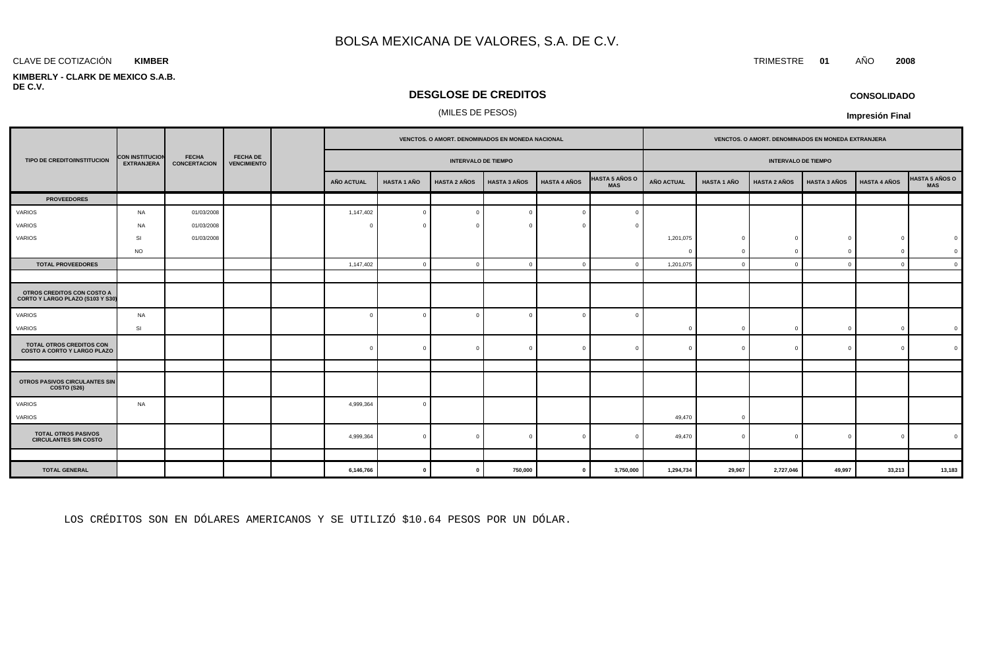#### CLAVE DE COTIZACIÓN TRIMESTRE **01** AÑO **2008 KIMBER**

#### **KIMBERLY - CLARK DE MEXICO S.A.B. DE C.V.**

#### **DESGLOSE DE CREDITOS**

#### (MILES DE PESOS)

|                                                                |                                             |                                     |                                       | VENCTOS. O AMORT. DENOMINADOS EN MONEDA NACIONAL |                    |                            |                     | VENCTOS. O AMORT. DENOMINADOS EN MONEDA EXTRANJERA |                                     |                   |                    |                            |                     |                     |                |
|----------------------------------------------------------------|---------------------------------------------|-------------------------------------|---------------------------------------|--------------------------------------------------|--------------------|----------------------------|---------------------|----------------------------------------------------|-------------------------------------|-------------------|--------------------|----------------------------|---------------------|---------------------|----------------|
| TIPO DE CREDITO/INSTITUCION                                    | <b>CON INSTITUCION</b><br><b>EXTRANJERA</b> | <b>FECHA</b><br><b>CONCERTACION</b> | <b>FECHA DE</b><br><b>VENCIMIENTO</b> |                                                  |                    | <b>INTERVALO DE TIEMPO</b> |                     |                                                    |                                     |                   |                    | <b>INTERVALO DE TIEMPO</b> |                     |                     |                |
|                                                                |                                             |                                     |                                       | <b>AÑO ACTUAL</b>                                | <b>HASTA 1 AÑO</b> | <b>HASTA 2 AÑOS</b>        | <b>HASTA 3 AÑOS</b> | <b>HASTA 4 AÑOS</b>                                | <b>HASTA 5 AÑOS O</b><br><b>MAS</b> | <b>AÑO ACTUAL</b> | <b>HASTA 1 AÑO</b> | <b>HASTA 2 AÑOS</b>        | <b>HASTA 3 AÑOS</b> | <b>HASTA 4 AÑOS</b> | HASTA 5 AÑOS O |
| <b>PROVEEDORES</b>                                             |                                             |                                     |                                       |                                                  |                    |                            |                     |                                                    |                                     |                   |                    |                            |                     |                     |                |
| VARIOS                                                         | <b>NA</b>                                   | 01/03/2008                          |                                       | 1,147,402                                        | $\overline{0}$     | $\overline{0}$             |                     | $\Omega$                                           |                                     |                   |                    |                            |                     |                     |                |
| VARIOS                                                         | <b>NA</b>                                   | 01/03/2008                          |                                       |                                                  |                    | $\overline{0}$             |                     |                                                    |                                     |                   |                    |                            |                     |                     |                |
| VARIOS                                                         | SI                                          | 01/03/2008                          |                                       |                                                  |                    |                            |                     |                                                    |                                     | 1,201,075         | $\Omega$           | $\Omega$                   | $\Omega$            | $\Omega$            |                |
|                                                                | <b>NO</b>                                   |                                     |                                       |                                                  |                    |                            |                     |                                                    |                                     | $\Omega$          |                    | $\Omega$                   | $\Omega$            | $\Omega$            |                |
| <b>TOTAL PROVEEDORES</b>                                       |                                             |                                     |                                       | 1,147,402                                        | $\overline{0}$     | $\overline{0}$             | $\Omega$            | $\Omega$                                           |                                     | 1,201,075         | $\Omega$           | $\Omega$                   | $\Omega$            | $\mathbf{0}$        |                |
|                                                                |                                             |                                     |                                       |                                                  |                    |                            |                     |                                                    |                                     |                   |                    |                            |                     |                     |                |
| OTROS CREDITOS CON COSTO A<br>CORTO Y LARGO PLAZO (S103 Y S30) |                                             |                                     |                                       |                                                  |                    |                            |                     |                                                    |                                     |                   |                    |                            |                     |                     |                |
| <b>VARIOS</b>                                                  | NA                                          |                                     |                                       | $\Omega$                                         | $\Omega$           | $\overline{0}$             |                     | $\Omega$                                           | $\Omega$                            |                   |                    |                            |                     |                     |                |
| VARIOS                                                         | SI                                          |                                     |                                       |                                                  |                    |                            |                     |                                                    |                                     | $\overline{0}$    | $\Omega$           | $\Omega$                   | $\Omega$            | $\overline{0}$      |                |
| TOTAL OTROS CREDITOS CON<br><b>COSTO A CORTO Y LARGO PLAZO</b> |                                             |                                     |                                       | $\Omega$                                         | $\Omega$           | $\overline{0}$             |                     | $\Omega$                                           |                                     | $\Omega$          | C                  | $\Omega$                   | $\Omega$            | $\Omega$            |                |
|                                                                |                                             |                                     |                                       |                                                  |                    |                            |                     |                                                    |                                     |                   |                    |                            |                     |                     |                |
| OTROS PASIVOS CIRCULANTES SIN<br>COSTO (S26)                   |                                             |                                     |                                       |                                                  |                    |                            |                     |                                                    |                                     |                   |                    |                            |                     |                     |                |
| <b>VARIOS</b><br>VARIOS                                        | NA                                          |                                     |                                       | 4,999,364                                        | $\Omega$           |                            |                     |                                                    |                                     | 49,470            | $\Omega$           |                            |                     |                     |                |
| <b>TOTAL OTROS PASIVOS</b><br><b>CIRCULANTES SIN COSTO</b>     |                                             |                                     |                                       | 4,999,364                                        | $\Omega$           | $\overline{0}$             | $\sqrt{ }$          | $\Omega$                                           |                                     | 49,470            | $\Omega$           | $\mathbf{0}$               | $\overline{0}$      | $\mathbf{0}$        |                |
|                                                                |                                             |                                     |                                       |                                                  |                    |                            |                     |                                                    |                                     |                   |                    |                            |                     |                     |                |
| <b>TOTAL GENERAL</b>                                           |                                             |                                     |                                       | 6,146,766                                        | $\mathbf 0$        | $\mathbf{0}$               | 750,000             | $\mathbf 0$                                        | 3,750,000                           | 1,294,734         | 29,967             | 2,727,046                  | 49,997              | 33,213              | 13,183         |

LOS CRÉDITOS SON EN DÓLARES AMERICANOS Y SE UTILIZÓ \$10.64 PESOS POR UN DÓLAR.

**CONSOLIDADO**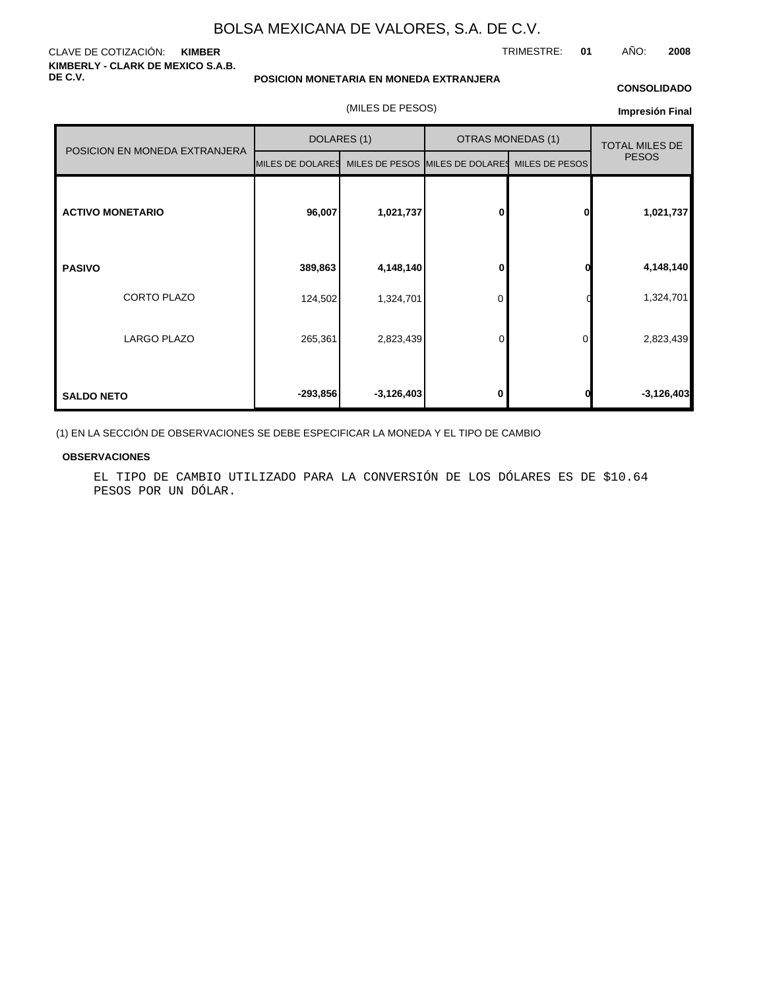CLAVE DE COTIZACIÓN: **KIMBER KIMBERLY - CLARK DE MEXICO S.A.B. DE C.V.**

TRIMESTRE: **01** AÑO: **2008**

#### **POSICION MONETARIA EN MONEDA EXTRANJERA**

(MILES DE PESOS)

## **CONSOLIDADO**

| Impresión Final |  |
|-----------------|--|
|-----------------|--|

|                               | DOLARES (1)      |              |                                 | <b>OTRAS MONEDAS (1)</b> | <b>TOTAL MILES DE</b> |  |
|-------------------------------|------------------|--------------|---------------------------------|--------------------------|-----------------------|--|
| POSICION EN MONEDA EXTRANJERA | MILES DE DOLARES |              | MILES DE PESOS MILES DE DOLARES | MILES DE PESOS           | <b>PESOS</b>          |  |
| <b>ACTIVO MONETARIO</b>       | 96,007           | 1,021,737    | 0                               | 0                        | 1,021,737             |  |
| <b>PASIVO</b>                 | 389,863          | 4,148,140    | 0                               |                          | 4,148,140             |  |
| <b>CORTO PLAZO</b>            | 124,502          | 1,324,701    | 0                               |                          | 1,324,701             |  |
| LARGO PLAZO                   | 265,361          | 2,823,439    | 0                               | 0                        | 2,823,439             |  |
| <b>SALDO NETO</b>             | $-293,856$       | $-3,126,403$ | 0                               |                          | $-3,126,403$          |  |

(1) EN LA SECCIÓN DE OBSERVACIONES SE DEBE ESPECIFICAR LA MONEDA Y EL TIPO DE CAMBIO

#### **OBSERVACIONES**

EL TIPO DE CAMBIO UTILIZADO PARA LA CONVERSIÓN DE LOS DÓLARES ES DE \$10.64 PESOS POR UN DÓLAR.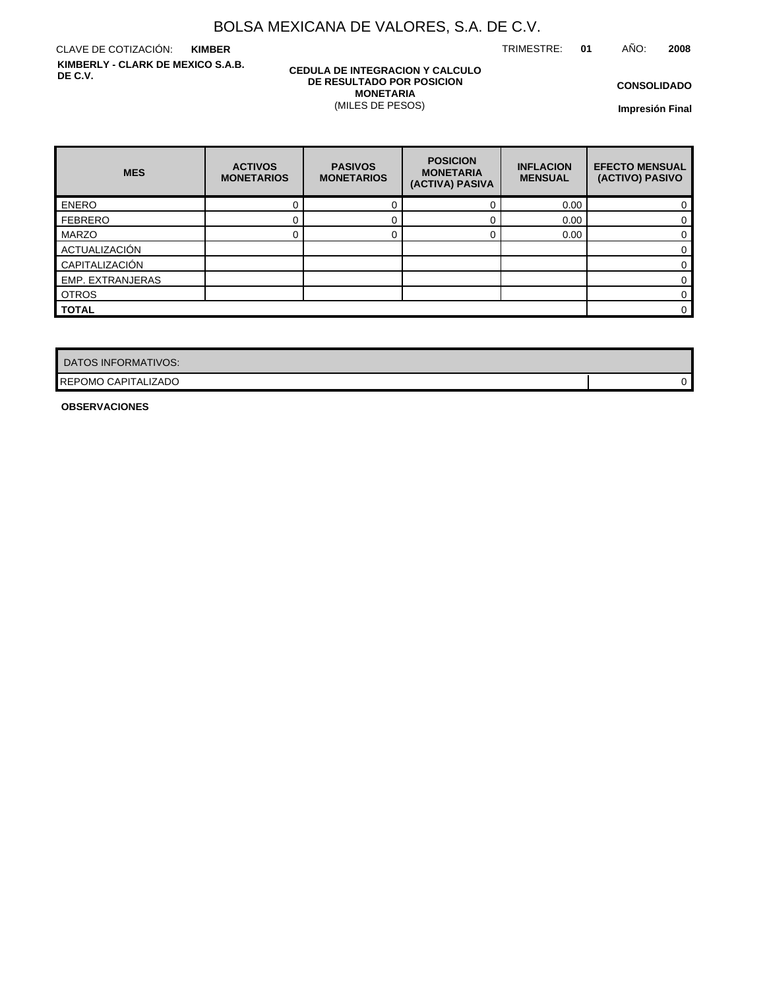TRIMESTRE: **01** AÑO: **2008**

CLAVE DE COTIZACIÓN: **KIMBER KIMBERLY - CLARK DE MEXICO S.A.B. DE C.V.**

#### **CEDULA DE INTEGRACION Y CALCULO DE RESULTADO POR POSICION MONETARIA** (MILES DE PESOS)

**CONSOLIDADO**

**Impresión Final**

| <b>MES</b>              | <b>ACTIVOS</b><br><b>MONETARIOS</b> | <b>PASIVOS</b><br><b>MONETARIOS</b> | <b>POSICION</b><br><b>MONETARIA</b><br>(ACTIVA) PASIVA | <b>INFLACION</b><br><b>MENSUAL</b> | <b>EFECTO MENSUAL</b><br>(ACTIVO) PASIVO |
|-------------------------|-------------------------------------|-------------------------------------|--------------------------------------------------------|------------------------------------|------------------------------------------|
| <b>ENERO</b>            |                                     |                                     |                                                        | 0.00                               |                                          |
| <b>FEBRERO</b>          |                                     |                                     |                                                        | 0.00                               |                                          |
| MARZO                   |                                     |                                     |                                                        | 0.00                               | 0                                        |
| ACTUALIZACIÓN           |                                     |                                     |                                                        |                                    |                                          |
| CAPITALIZACIÓN          |                                     |                                     |                                                        |                                    | 0                                        |
| <b>EMP. EXTRANJERAS</b> |                                     |                                     |                                                        |                                    | 0                                        |
| <b>OTROS</b>            |                                     |                                     |                                                        |                                    | 0                                        |
| <b>TOTAL</b>            |                                     |                                     |                                                        |                                    | 0                                        |

| DATOS INFORMATIVOS:        |  |
|----------------------------|--|
| <b>REPOMO CAPITALIZADO</b> |  |

**OBSERVACIONES**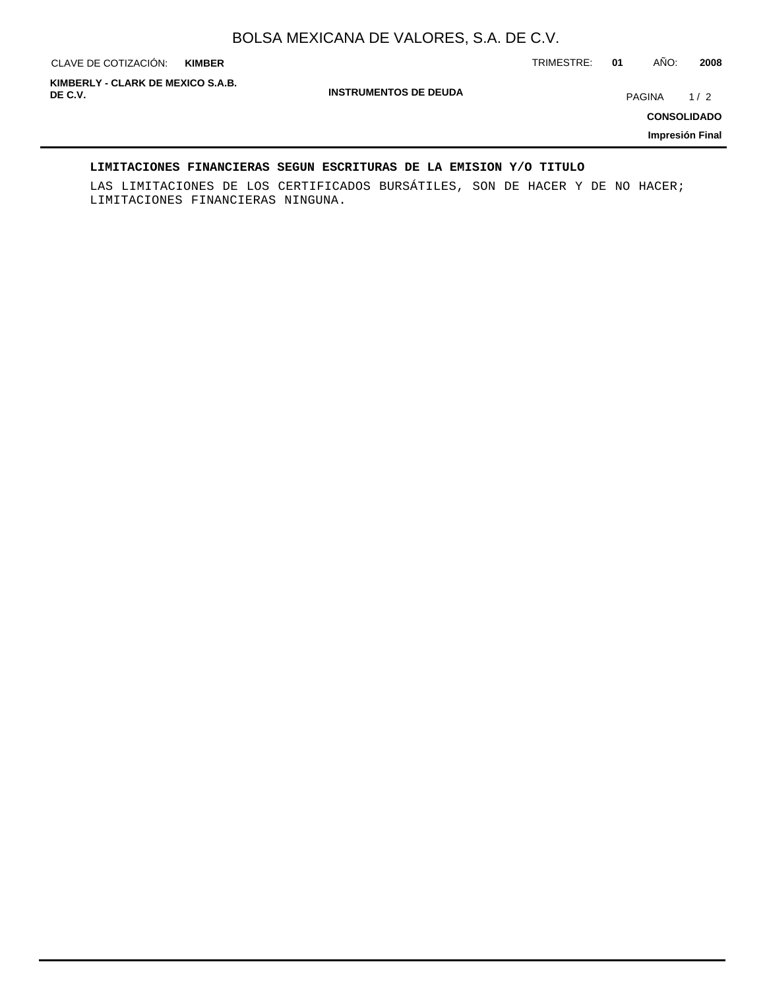**KIMBER**

CLAVE DE COTIZACIÓN: TRIMESTRE: **01** AÑO: **2008**

**KIMBERLY - CLARK DE MEXICO S.A.B.**

**INSTRUMENTOS DE DEUDA**

**PAGINA** 1/2

**CONSOLIDADO**

**Impresión Final**

#### **LIMITACIONES FINANCIERAS SEGUN ESCRITURAS DE LA EMISION Y/O TITULO**

LAS LIMITACIONES DE LOS CERTIFICADOS BURSÁTILES, SON DE HACER Y DE NO HACER; LIMITACIONES FINANCIERAS NINGUNA.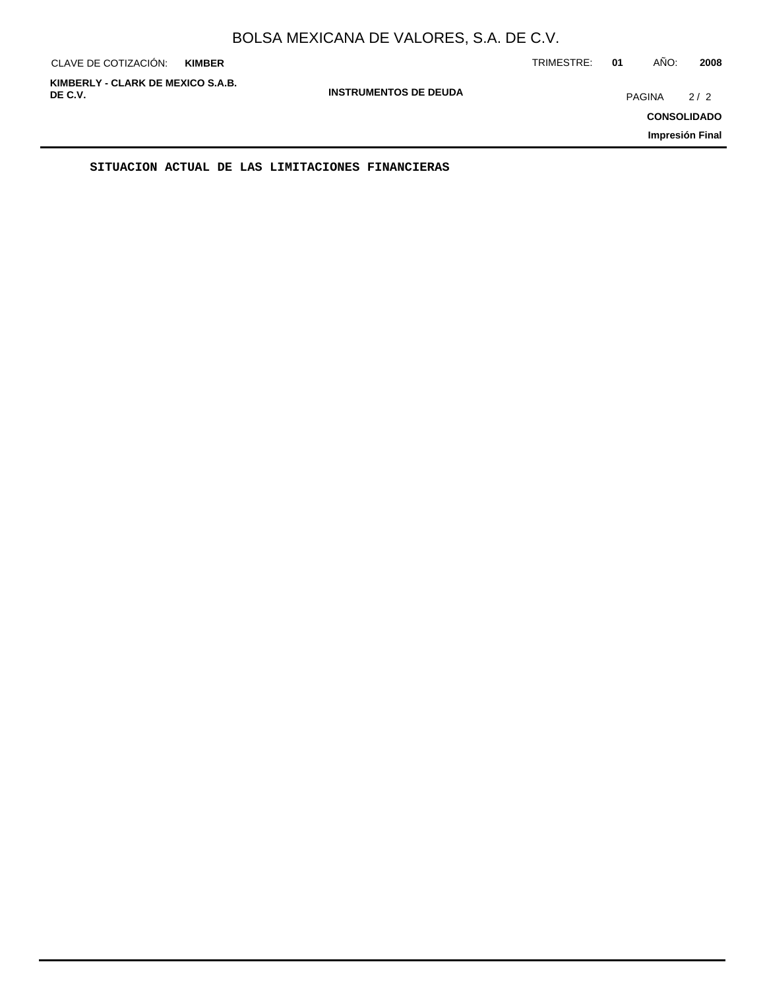| CLAVE DE COTIZACIÓN:                         | <b>KIMBER</b>                | TRIMESTRE: | AÑO:<br>01    | 2008                                         |
|----------------------------------------------|------------------------------|------------|---------------|----------------------------------------------|
| KIMBERLY - CLARK DE MEXICO S.A.B.<br>DE C.V. | <b>INSTRUMENTOS DE DEUDA</b> |            | <b>PAGINA</b> | 2/2<br><b>CONSOLIDADO</b><br>Impresión Final |
|                                              |                              |            |               |                                              |

**SITUACION ACTUAL DE LAS LIMITACIONES FINANCIERAS**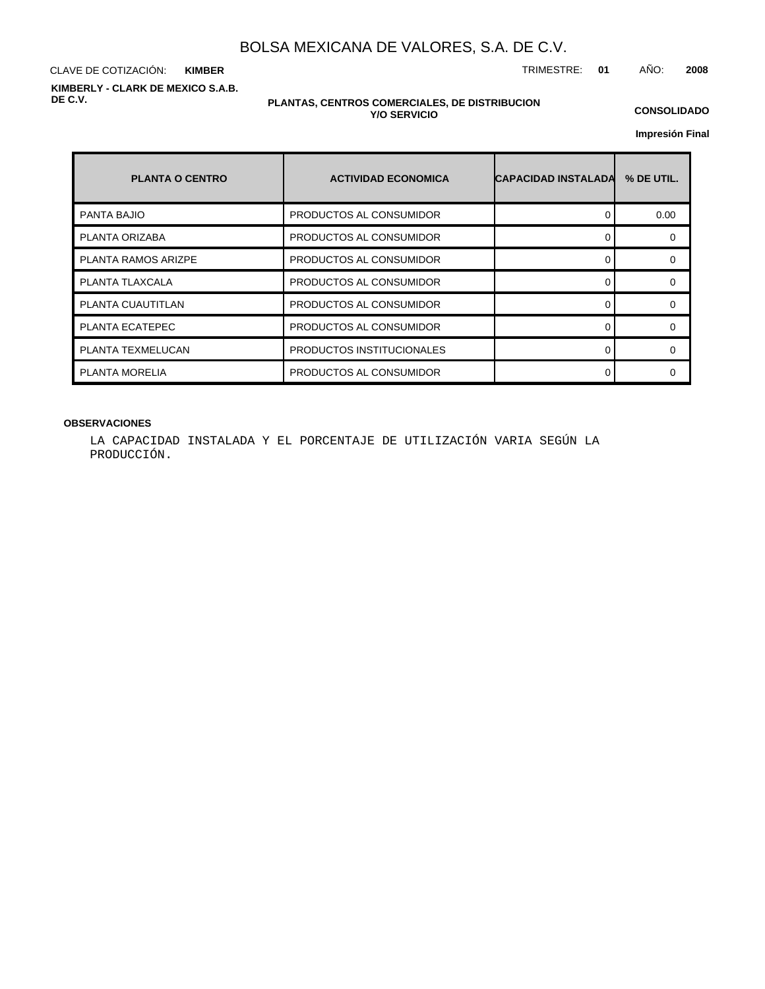CLAVE DE COTIZACIÓN: TRIMESTRE: **01** AÑO: **2008 KIMBER KIMBERLY - CLARK DE MEXICO S.A.B. DE C.V.**

#### **PLANTAS, CENTROS COMERCIALES, DE DISTRIBUCION Y/O SERVICIO**

**CONSOLIDADO**

**Impresión Final**

| <b>PLANTA O CENTRO</b>     | <b>ACTIVIDAD ECONOMICA</b> | <b>CAPACIDAD INSTALADA</b> | % DE UTIL. |
|----------------------------|----------------------------|----------------------------|------------|
| <b>PANTA BAJIO</b>         | PRODUCTOS AL CONSUMIDOR    | Ω                          | 0.00       |
| PLANTA ORIZABA             | PRODUCTOS AL CONSUMIDOR    |                            |            |
| <b>PLANTA RAMOS ARIZPE</b> | PRODUCTOS AL CONSUMIDOR    |                            | ∩          |
| PLANTA TLAXCALA            | PRODUCTOS AL CONSUMIDOR    |                            |            |
| PLANTA CUAUTITLAN          | PRODUCTOS AL CONSUMIDOR    |                            |            |
| PLANTA ECATEPEC            | PRODUCTOS AL CONSUMIDOR    |                            | ∩          |
| PLANTA TEXMELUCAN          | PRODUCTOS INSTITUCIONALES  |                            |            |
| <b>PLANTA MORELIA</b>      | PRODUCTOS AL CONSUMIDOR    |                            |            |

#### **OBSERVACIONES**

LA CAPACIDAD INSTALADA Y EL PORCENTAJE DE UTILIZACIÓN VARIA SEGÚN LA PRODUCCIÓN.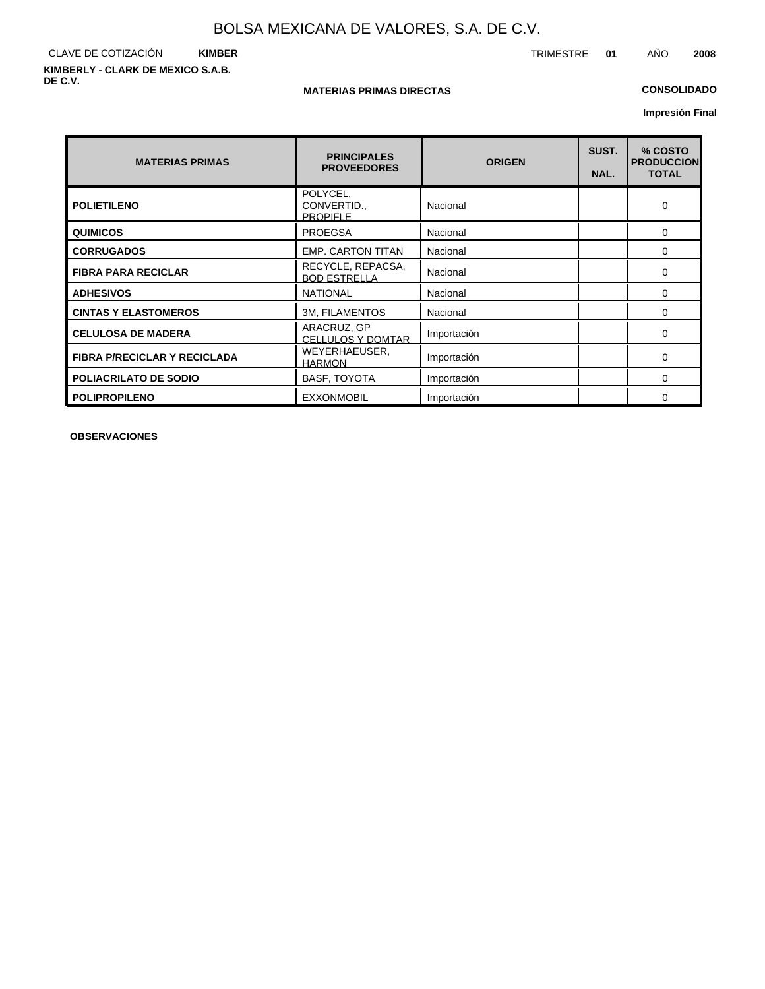#### CLAVE DE COTIZACIÓN **KIMBER KIMBERLY - CLARK DE MEXICO S.A.B. DE C.V.**

#### **MATERIAS PRIMAS DIRECTAS**

#### **CONSOLIDADO**

**Impresión Final**

| <b>MATERIAS PRIMAS</b>              | <b>PRINCIPALES</b><br><b>PROVEEDORES</b>  | <b>ORIGEN</b> | SUST.<br>NAL. | % COSTO<br><b>PRODUCCION</b><br><b>TOTAL</b> |
|-------------------------------------|-------------------------------------------|---------------|---------------|----------------------------------------------|
| <b>POLIETILENO</b>                  | POLYCEL,<br>CONVERTID.<br><b>PROPIFLE</b> | Nacional      |               | $\Omega$                                     |
| <b>QUIMICOS</b>                     | <b>PROEGSA</b>                            | Nacional      |               | 0                                            |
| <b>CORRUGADOS</b>                   | <b>EMP. CARTON TITAN</b>                  | Nacional      |               | $\Omega$                                     |
| <b>FIBRA PARA RECICLAR</b>          | RECYCLE, REPACSA,<br><b>BOD ESTRELLA</b>  | Nacional      |               | $\Omega$                                     |
| <b>ADHESIVOS</b>                    | <b>NATIONAL</b>                           | Nacional      |               | $\Omega$                                     |
| <b>CINTAS Y ELASTOMEROS</b>         | <b>3M, FILAMENTOS</b>                     | Nacional      |               | $\Omega$                                     |
| <b>CELULOSA DE MADERA</b>           | ARACRUZ, GP<br><b>CELLULOS Y DOMTAR</b>   | Importación   |               | $\Omega$                                     |
| <b>FIBRA P/RECICLAR Y RECICLADA</b> | WEYERHAEUSER,<br><b>HARMON</b>            | Importación   |               | 0                                            |
| <b>POLIACRILATO DE SODIO</b>        | <b>BASF, TOYOTA</b>                       | Importación   |               | $\Omega$                                     |
| <b>POLIPROPILENO</b>                | <b>EXXONMOBIL</b>                         | Importación   |               | $\Omega$                                     |

**OBSERVACIONES**

TRIMESTRE **01** AÑO **2008**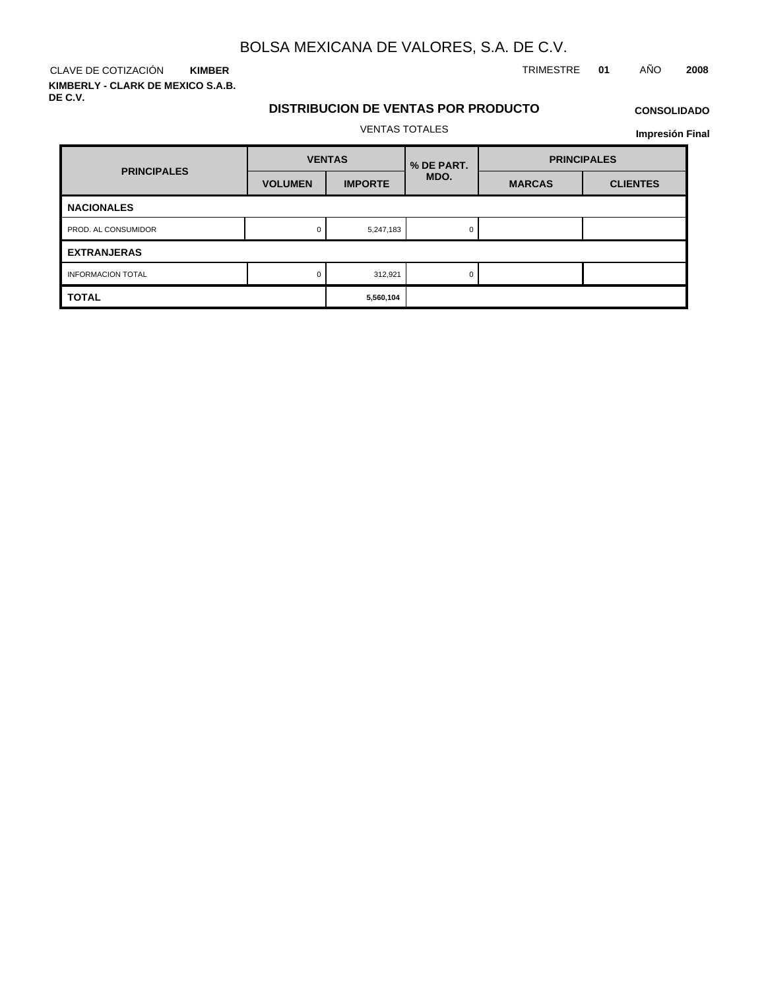**KIMBER KIMBERLY - CLARK DE MEXICO S.A.B. DE C.V.**

### CLAVE DE COTIZACIÓN TRIMESTRE **01** AÑO **2008**

## **DISTRIBUCION DE VENTAS POR PRODUCTO**

## **CONSOLIDADO**

VENTAS TOTALES

| <b>PRINCIPALES</b>       | <b>VENTAS</b>  |                | % DE PART. | <b>PRINCIPALES</b> |                 |  |
|--------------------------|----------------|----------------|------------|--------------------|-----------------|--|
|                          | <b>VOLUMEN</b> | <b>IMPORTE</b> | MDO.       | <b>MARCAS</b>      | <b>CLIENTES</b> |  |
| <b>NACIONALES</b>        |                |                |            |                    |                 |  |
| PROD. AL CONSUMIDOR      |                | 5,247,183      |            |                    |                 |  |
| <b>EXTRANJERAS</b>       |                |                |            |                    |                 |  |
| <b>INFORMACION TOTAL</b> |                | 312,921        | 0          |                    |                 |  |
| <b>TOTAL</b>             |                | 5,560,104      |            |                    |                 |  |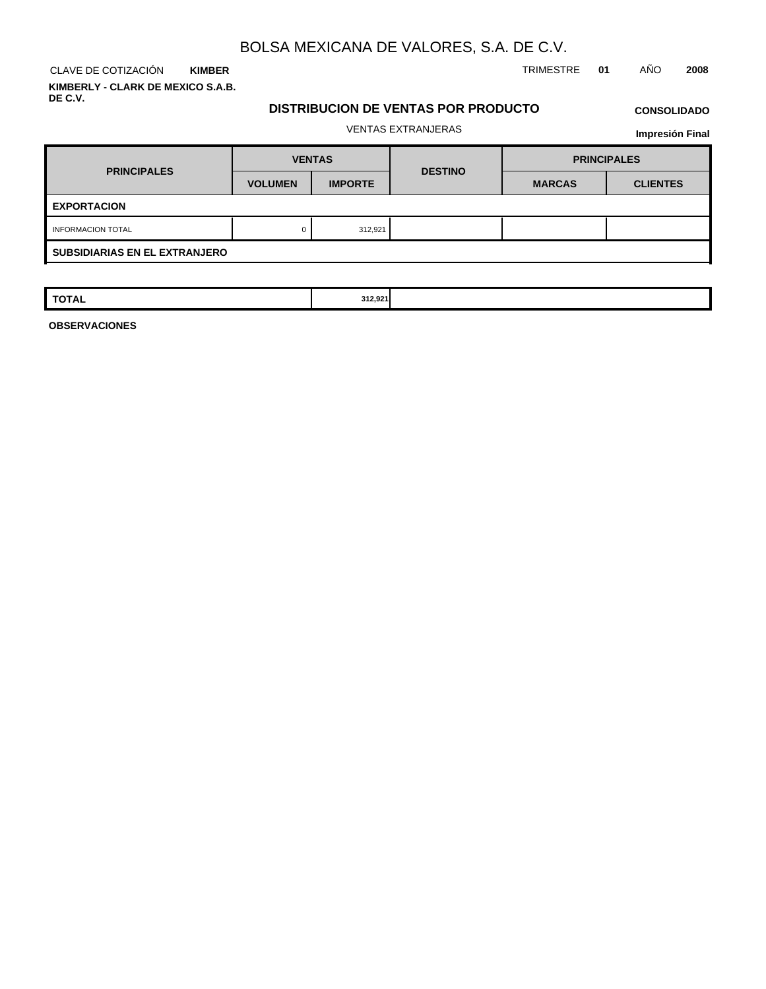**KIMBER KIMBERLY - CLARK DE MEXICO S.A.B. DE C.V.**

CLAVE DE COTIZACIÓN TRIMESTRE **01** AÑO **2008**

#### **DISTRIBUCION DE VENTAS POR PRODUCTO**

## **CONSOLIDADO**

#### VENTAS EXTRANJERAS

**Impresión Final**

| <b>PRINCIPALES</b>                   | <b>VENTAS</b>  |                | <b>DESTINO</b> | <b>PRINCIPALES</b> |                 |  |  |  |
|--------------------------------------|----------------|----------------|----------------|--------------------|-----------------|--|--|--|
|                                      | <b>VOLUMEN</b> | <b>IMPORTE</b> |                | <b>MARCAS</b>      | <b>CLIENTES</b> |  |  |  |
| <b>EXPORTACION</b>                   |                |                |                |                    |                 |  |  |  |
| <b>INFORMACION TOTAL</b>             | 0              | 312,921        |                |                    |                 |  |  |  |
| <b>SUBSIDIARIAS EN EL EXTRANJERO</b> |                |                |                |                    |                 |  |  |  |

| <b>TOTAL</b><br>312,921<br>$\sim$ $\sim$ |
|------------------------------------------|
|------------------------------------------|

**OBSERVACIONES**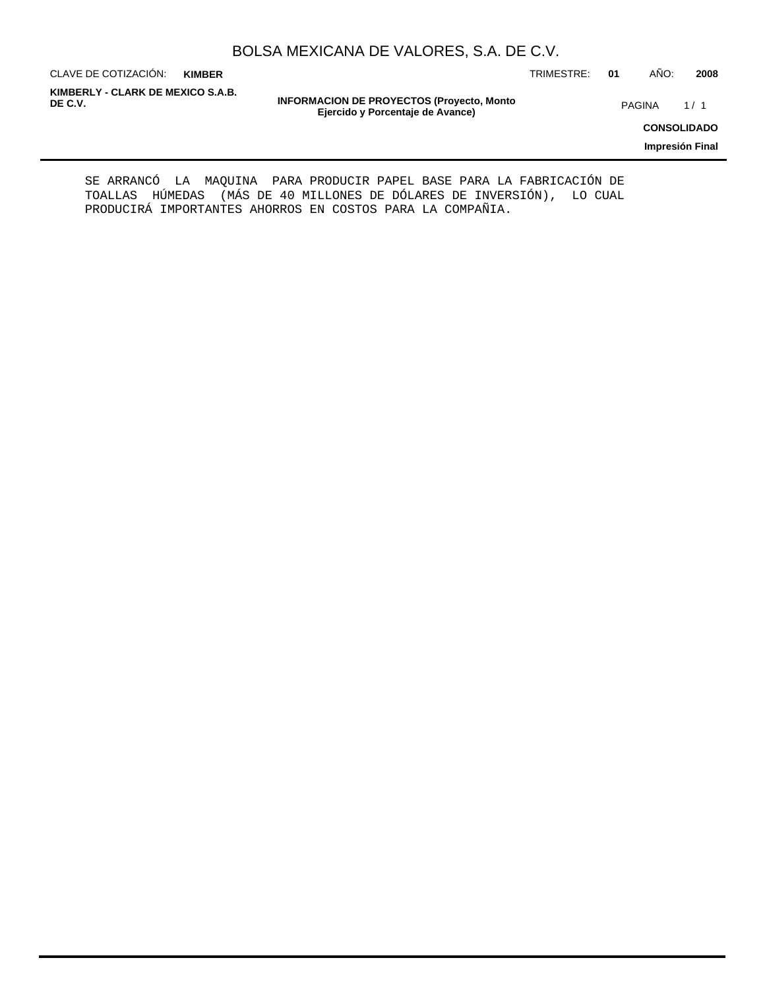CLAVE DE COTIZACIÓN: TRIMESTRE: **01** AÑO: **2008 KIMBER**

**KIMBERLY - CLARK DE MEXICO S.A.B.**

**INFORMACION DE PROYECTOS (Proyecto, Monto DE C.V.** PAGINA 1 / 1 **Ejercido y Porcentaje de Avance)**

**CONSOLIDADO**

**Impresión Final**

SE ARRANCÓ LA MAQUINA PARA PRODUCIR PAPEL BASE PARA LA FABRICACIÓN DE TOALLAS HÚMEDAS (MÁS DE 40 MILLONES DE DÓLARES DE INVERSIÓN), LO CUAL PRODUCIRÁ IMPORTANTES AHORROS EN COSTOS PARA LA COMPAÑIA.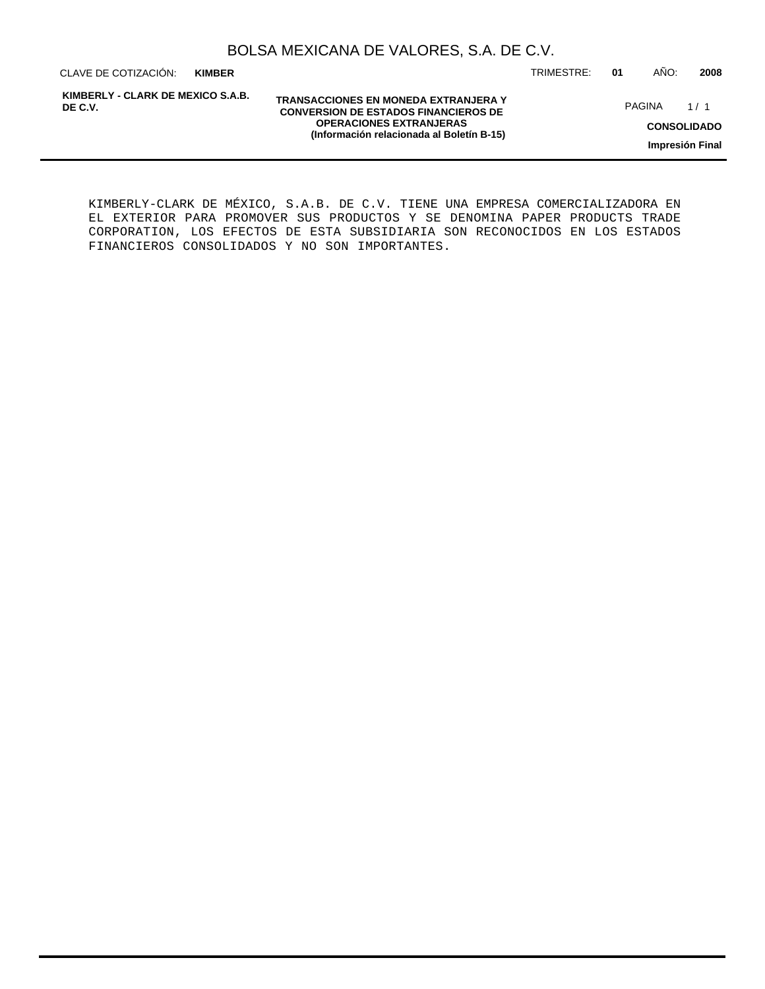**KIMBER**

**KIMBERLY - CLARK DE MEXICO S.A.B. DE C.V.**

**TRANSACCIONES EN MONEDA EXTRANJERA Y CONVERSION DE ESTADOS FINANCIEROS DE OPERACIONES EXTRANJERAS (Información relacionada al Boletín B-15)**

CLAVE DE COTIZACIÓN: TRIMESTRE: **01** AÑO: **2008**

PAGINA 1/1

**CONSOLIDADO**

**Impresión Final**

KIMBERLY-CLARK DE MÉXICO, S.A.B. DE C.V. TIENE UNA EMPRESA COMERCIALIZADORA EN EL EXTERIOR PARA PROMOVER SUS PRODUCTOS Y SE DENOMINA PAPER PRODUCTS TRADE CORPORATION, LOS EFECTOS DE ESTA SUBSIDIARIA SON RECONOCIDOS EN LOS ESTADOS FINANCIEROS CONSOLIDADOS Y NO SON IMPORTANTES.